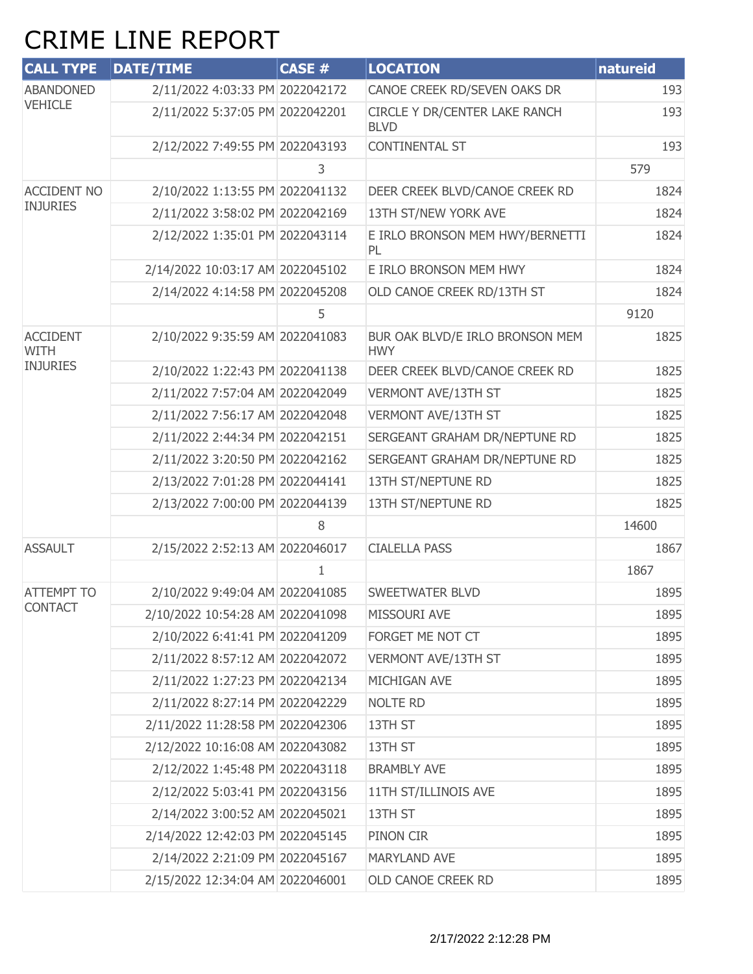## CRIME LINE REPORT

| <b>CALL TYPE</b>                   | <b>DATE/TIME</b>                 | <b>CASE #</b> | <b>LOCATION</b>                               | natureid |
|------------------------------------|----------------------------------|---------------|-----------------------------------------------|----------|
| <b>ABANDONED</b><br><b>VEHICLE</b> | 2/11/2022 4:03:33 PM 2022042172  |               | CANOE CREEK RD/SEVEN OAKS DR                  | 193      |
|                                    | 2/11/2022 5:37:05 PM 2022042201  |               | CIRCLE Y DR/CENTER LAKE RANCH<br><b>BLVD</b>  | 193      |
|                                    | 2/12/2022 7:49:55 PM 2022043193  |               | <b>CONTINENTAL ST</b>                         | 193      |
|                                    |                                  | 3             |                                               | 579      |
| <b>ACCIDENT NO</b>                 | 2/10/2022 1:13:55 PM 2022041132  |               | DEER CREEK BLVD/CANOE CREEK RD                | 1824     |
| <b>INJURIES</b>                    | 2/11/2022 3:58:02 PM 2022042169  |               | 13TH ST/NEW YORK AVE                          | 1824     |
|                                    | 2/12/2022 1:35:01 PM 2022043114  |               | E IRLO BRONSON MEM HWY/BERNETTI<br>PL         | 1824     |
|                                    | 2/14/2022 10:03:17 AM 2022045102 |               | E IRLO BRONSON MEM HWY                        | 1824     |
|                                    | 2/14/2022 4:14:58 PM 2022045208  |               | OLD CANOE CREEK RD/13TH ST                    | 1824     |
|                                    |                                  | 5             |                                               | 9120     |
| <b>ACCIDENT</b><br><b>WITH</b>     | 2/10/2022 9:35:59 AM 2022041083  |               | BUR OAK BLVD/E IRLO BRONSON MEM<br><b>HWY</b> | 1825     |
| <b>INJURIES</b>                    | 2/10/2022 1:22:43 PM 2022041138  |               | DEER CREEK BLVD/CANOE CREEK RD                | 1825     |
|                                    | 2/11/2022 7:57:04 AM 2022042049  |               | VERMONT AVE/13TH ST                           | 1825     |
|                                    | 2/11/2022 7:56:17 AM 2022042048  |               | VERMONT AVE/13TH ST                           | 1825     |
|                                    | 2/11/2022 2:44:34 PM 2022042151  |               | SERGEANT GRAHAM DR/NEPTUNE RD                 | 1825     |
|                                    | 2/11/2022 3:20:50 PM 2022042162  |               | SERGEANT GRAHAM DR/NEPTUNE RD                 | 1825     |
|                                    | 2/13/2022 7:01:28 PM 2022044141  |               | 13TH ST/NEPTUNE RD                            | 1825     |
|                                    | 2/13/2022 7:00:00 PM 2022044139  |               | 13TH ST/NEPTUNE RD                            | 1825     |
|                                    |                                  | 8             |                                               | 14600    |
| <b>ASSAULT</b>                     | 2/15/2022 2:52:13 AM 2022046017  |               | <b>CIALELLA PASS</b>                          | 1867     |
|                                    |                                  | 1             |                                               | 1867     |
| <b>ATTEMPT TO</b>                  | 2/10/2022 9:49:04 AM 2022041085  |               | SWEETWATER BLVD                               | 1895     |
| <b>CONTACT</b>                     | 2/10/2022 10:54:28 AM 2022041098 |               | MISSOURI AVE                                  | 1895     |
|                                    | 2/10/2022 6:41:41 PM 2022041209  |               | FORGET ME NOT CT                              | 1895     |
|                                    | 2/11/2022 8:57:12 AM 2022042072  |               | VERMONT AVE/13TH ST                           | 1895     |
|                                    | 2/11/2022 1:27:23 PM 2022042134  |               | MICHIGAN AVE                                  | 1895     |
|                                    | 2/11/2022 8:27:14 PM 2022042229  |               | <b>NOLTE RD</b>                               | 1895     |
|                                    | 2/11/2022 11:28:58 PM 2022042306 |               | 13TH ST                                       | 1895     |
|                                    | 2/12/2022 10:16:08 AM 2022043082 |               | 13TH ST                                       | 1895     |
|                                    | 2/12/2022 1:45:48 PM 2022043118  |               | <b>BRAMBLY AVE</b>                            | 1895     |
|                                    | 2/12/2022 5:03:41 PM 2022043156  |               | 11TH ST/ILLINOIS AVE                          | 1895     |
|                                    | 2/14/2022 3:00:52 AM 2022045021  |               | 13TH ST                                       | 1895     |
|                                    | 2/14/2022 12:42:03 PM 2022045145 |               | PINON CIR                                     | 1895     |
|                                    | 2/14/2022 2:21:09 PM 2022045167  |               | <b>MARYLAND AVE</b>                           | 1895     |
|                                    | 2/15/2022 12:34:04 AM 2022046001 |               | OLD CANOE CREEK RD                            | 1895     |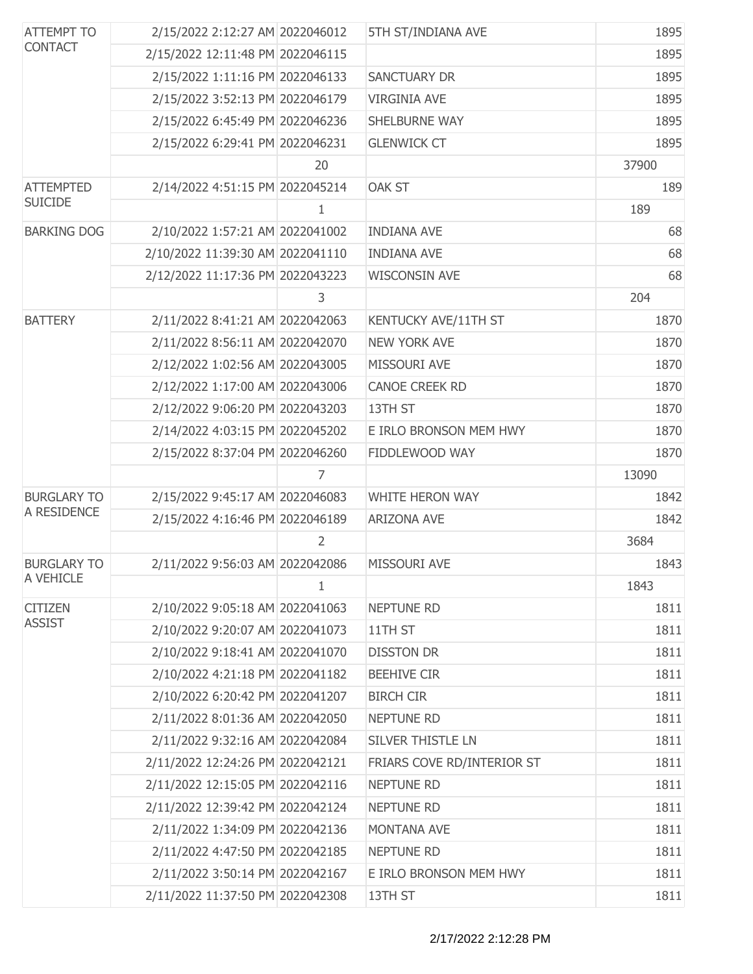| <b>ATTEMPT TO</b><br><b>CONTACT</b> | 2/15/2022 2:12:27 AM 2022046012  |                | 5TH ST/INDIANA AVE         | 1895  |
|-------------------------------------|----------------------------------|----------------|----------------------------|-------|
|                                     | 2/15/2022 12:11:48 PM 2022046115 |                |                            | 1895  |
|                                     | 2/15/2022 1:11:16 PM 2022046133  |                | <b>SANCTUARY DR</b>        | 1895  |
|                                     | 2/15/2022 3:52:13 PM 2022046179  |                | <b>VIRGINIA AVE</b>        | 1895  |
|                                     | 2/15/2022 6:45:49 PM 2022046236  |                | SHELBURNE WAY              | 1895  |
|                                     | 2/15/2022 6:29:41 PM 2022046231  |                | <b>GLENWICK CT</b>         | 1895  |
|                                     |                                  | 20             |                            | 37900 |
| <b>ATTEMPTED</b>                    | 2/14/2022 4:51:15 PM 2022045214  |                | <b>OAK ST</b>              | 189   |
| <b>SUICIDE</b>                      |                                  | 1              |                            | 189   |
| <b>BARKING DOG</b>                  | 2/10/2022 1:57:21 AM 2022041002  |                | <b>INDIANA AVE</b>         | 68    |
|                                     | 2/10/2022 11:39:30 AM 2022041110 |                | <b>INDIANA AVE</b>         | 68    |
|                                     | 2/12/2022 11:17:36 PM 2022043223 |                | <b>WISCONSIN AVE</b>       | 68    |
|                                     |                                  | 3              |                            | 204   |
| <b>BATTERY</b>                      | 2/11/2022 8:41:21 AM 2022042063  |                | KENTUCKY AVE/11TH ST       | 1870  |
|                                     | 2/11/2022 8:56:11 AM 2022042070  |                | <b>NEW YORK AVE</b>        | 1870  |
|                                     | 2/12/2022 1:02:56 AM 2022043005  |                | MISSOURI AVE               | 1870  |
|                                     | 2/12/2022 1:17:00 AM 2022043006  |                | <b>CANOE CREEK RD</b>      | 1870  |
|                                     | 2/12/2022 9:06:20 PM 2022043203  |                | 13TH ST                    | 1870  |
|                                     | 2/14/2022 4:03:15 PM 2022045202  |                | E IRLO BRONSON MEM HWY     | 1870  |
|                                     | 2/15/2022 8:37:04 PM 2022046260  |                | FIDDLEWOOD WAY             | 1870  |
|                                     |                                  | 7              |                            | 13090 |
| <b>BURGLARY TO</b>                  | 2/15/2022 9:45:17 AM 2022046083  |                | <b>WHITE HERON WAY</b>     | 1842  |
| A RESIDENCE                         | 2/15/2022 4:16:46 PM 2022046189  |                | <b>ARIZONA AVE</b>         | 1842  |
|                                     |                                  | $\overline{2}$ |                            | 3684  |
| <b>BURGLARY TO</b>                  | 2/11/2022 9:56:03 AM 2022042086  |                | MISSOURI AVE               | 1843  |
| A VEHICLE                           |                                  | $\mathbf{1}$   |                            | 1843  |
| <b>CITIZEN</b>                      | 2/10/2022 9:05:18 AM 2022041063  |                | <b>NEPTUNE RD</b>          | 1811  |
| <b>ASSIST</b>                       | 2/10/2022 9:20:07 AM 2022041073  |                | 11TH ST                    | 1811  |
|                                     | 2/10/2022 9:18:41 AM 2022041070  |                | <b>DISSTON DR</b>          | 1811  |
|                                     | 2/10/2022 4:21:18 PM 2022041182  |                | <b>BEEHIVE CIR</b>         | 1811  |
|                                     | 2/10/2022 6:20:42 PM 2022041207  |                | <b>BIRCH CIR</b>           | 1811  |
|                                     | 2/11/2022 8:01:36 AM 2022042050  |                | NEPTUNE RD                 | 1811  |
|                                     | 2/11/2022 9:32:16 AM 2022042084  |                | SILVER THISTLE LN          | 1811  |
|                                     | 2/11/2022 12:24:26 PM 2022042121 |                | FRIARS COVE RD/INTERIOR ST | 1811  |
|                                     | 2/11/2022 12:15:05 PM 2022042116 |                | <b>NEPTUNE RD</b>          | 1811  |
|                                     | 2/11/2022 12:39:42 PM 2022042124 |                | NEPTUNE RD                 | 1811  |
|                                     | 2/11/2022 1:34:09 PM 2022042136  |                | MONTANA AVE                | 1811  |
|                                     | 2/11/2022 4:47:50 PM 2022042185  |                | NEPTUNE RD                 | 1811  |
|                                     | 2/11/2022 3:50:14 PM 2022042167  |                | E IRLO BRONSON MEM HWY     | 1811  |
|                                     | 2/11/2022 11:37:50 PM 2022042308 |                | 13TH ST                    | 1811  |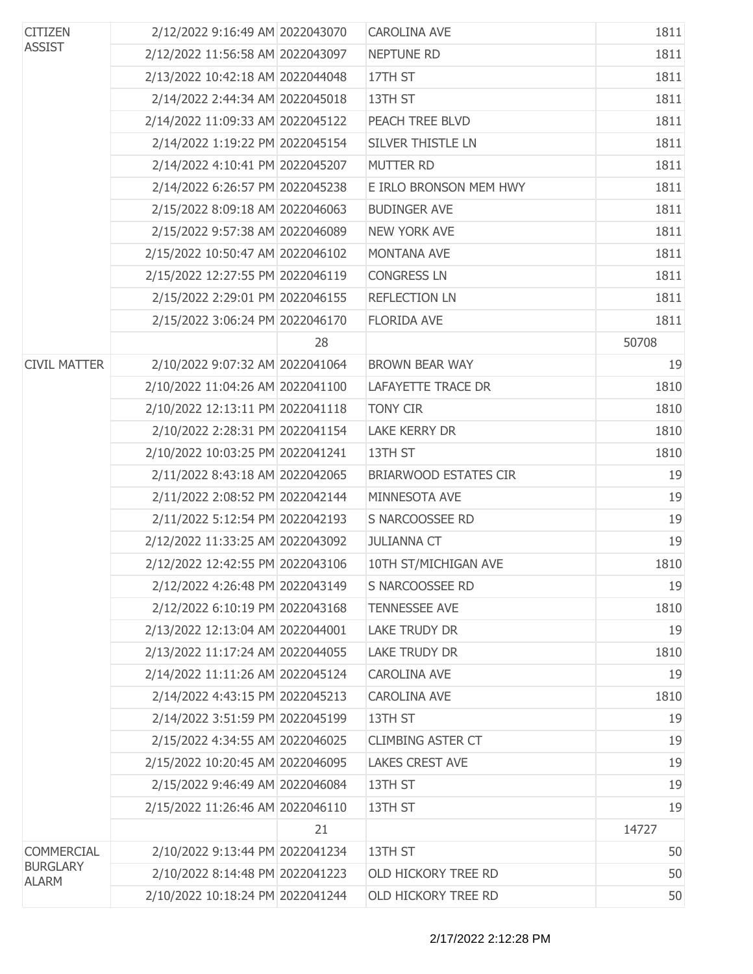| <b>CITIZEN</b><br><b>ASSIST</b> | 2/12/2022 9:16:49 AM 2022043070  |    | <b>CAROLINA AVE</b>          | 1811  |
|---------------------------------|----------------------------------|----|------------------------------|-------|
|                                 | 2/12/2022 11:56:58 AM 2022043097 |    | NEPTUNE RD                   | 1811  |
|                                 | 2/13/2022 10:42:18 AM 2022044048 |    | 17TH ST                      | 1811  |
|                                 | 2/14/2022 2:44:34 AM 2022045018  |    | 13TH ST                      | 1811  |
|                                 | 2/14/2022 11:09:33 AM 2022045122 |    | PEACH TREE BLVD              | 1811  |
|                                 | 2/14/2022 1:19:22 PM 2022045154  |    | SILVER THISTLE LN            | 1811  |
|                                 | 2/14/2022 4:10:41 PM 2022045207  |    | <b>MUTTER RD</b>             | 1811  |
|                                 | 2/14/2022 6:26:57 PM 2022045238  |    | E IRLO BRONSON MEM HWY       | 1811  |
|                                 | 2/15/2022 8:09:18 AM 2022046063  |    | <b>BUDINGER AVE</b>          | 1811  |
|                                 | 2/15/2022 9:57:38 AM 2022046089  |    | <b>NEW YORK AVE</b>          | 1811  |
|                                 | 2/15/2022 10:50:47 AM 2022046102 |    | <b>MONTANA AVE</b>           | 1811  |
|                                 | 2/15/2022 12:27:55 PM 2022046119 |    | <b>CONGRESS LN</b>           | 1811  |
|                                 | 2/15/2022 2:29:01 PM 2022046155  |    | <b>REFLECTION LN</b>         | 1811  |
|                                 | 2/15/2022 3:06:24 PM 2022046170  |    | <b>FLORIDA AVE</b>           | 1811  |
|                                 |                                  | 28 |                              | 50708 |
| <b>CIVIL MATTER</b>             | 2/10/2022 9:07:32 AM 2022041064  |    | <b>BROWN BEAR WAY</b>        | 19    |
|                                 | 2/10/2022 11:04:26 AM 2022041100 |    | <b>LAFAYETTE TRACE DR</b>    | 1810  |
|                                 | 2/10/2022 12:13:11 PM 2022041118 |    | <b>TONY CIR</b>              | 1810  |
|                                 | 2/10/2022 2:28:31 PM 2022041154  |    | <b>LAKE KERRY DR</b>         | 1810  |
|                                 | 2/10/2022 10:03:25 PM 2022041241 |    | 13TH ST                      | 1810  |
|                                 | 2/11/2022 8:43:18 AM 2022042065  |    | <b>BRIARWOOD ESTATES CIR</b> | 19    |
|                                 | 2/11/2022 2:08:52 PM 2022042144  |    | MINNESOTA AVE                | 19    |
|                                 | 2/11/2022 5:12:54 PM 2022042193  |    | S NARCOOSSEE RD              | 19    |
|                                 | 2/12/2022 11:33:25 AM 2022043092 |    | <b>JULIANNA CT</b>           | 19    |
|                                 | 2/12/2022 12:42:55 PM 2022043106 |    | 10TH ST/MICHIGAN AVE         | 1810  |
|                                 | 2/12/2022 4:26:48 PM 2022043149  |    | S NARCOOSSEE RD              | 19    |
|                                 | 2/12/2022 6:10:19 PM 2022043168  |    | <b>TENNESSEE AVE</b>         | 1810  |
|                                 | 2/13/2022 12:13:04 AM 2022044001 |    | <b>LAKE TRUDY DR</b>         | 19    |
|                                 | 2/13/2022 11:17:24 AM 2022044055 |    | <b>LAKE TRUDY DR</b>         | 1810  |
|                                 | 2/14/2022 11:11:26 AM 2022045124 |    | <b>CAROLINA AVE</b>          | 19    |
|                                 | 2/14/2022 4:43:15 PM 2022045213  |    | <b>CAROLINA AVE</b>          | 1810  |
|                                 | 2/14/2022 3:51:59 PM 2022045199  |    | 13TH ST                      | 19    |
|                                 | 2/15/2022 4:34:55 AM 2022046025  |    | <b>CLIMBING ASTER CT</b>     | 19    |
|                                 | 2/15/2022 10:20:45 AM 2022046095 |    | <b>LAKES CREST AVE</b>       | 19    |
|                                 | 2/15/2022 9:46:49 AM 2022046084  |    | 13TH ST                      | 19    |
|                                 | 2/15/2022 11:26:46 AM 2022046110 |    | 13TH ST                      | 19    |
|                                 |                                  | 21 |                              | 14727 |
| <b>COMMERCIAL</b>               | 2/10/2022 9:13:44 PM 2022041234  |    | 13TH ST                      | 50    |
| <b>BURGLARY</b><br><b>ALARM</b> | 2/10/2022 8:14:48 PM 2022041223  |    | OLD HICKORY TREE RD          | 50    |
|                                 | 2/10/2022 10:18:24 PM 2022041244 |    | OLD HICKORY TREE RD          | 50    |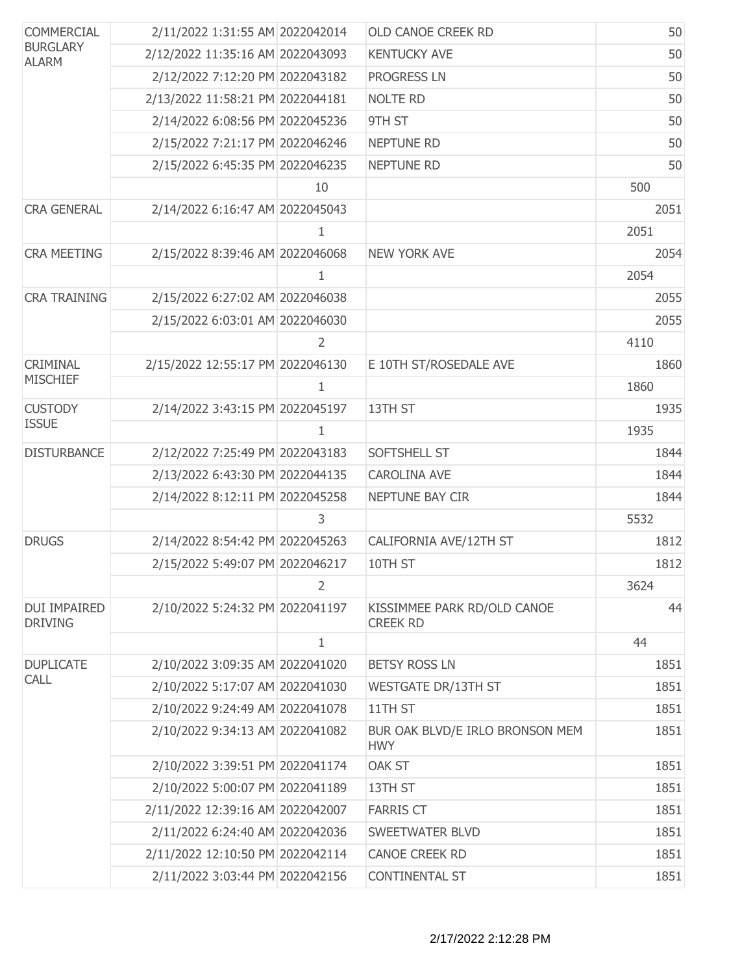| <b>COMMERCIAL</b><br><b>BURGLARY</b><br><b>ALARM</b> | 2/11/2022 1:31:55 AM 2022042014  |                | <b>OLD CANOE CREEK RD</b>                      | 50   |
|------------------------------------------------------|----------------------------------|----------------|------------------------------------------------|------|
|                                                      | 2/12/2022 11:35:16 AM 2022043093 |                | <b>KENTUCKY AVE</b>                            | 50   |
|                                                      | 2/12/2022 7:12:20 PM 2022043182  |                | <b>PROGRESS LN</b>                             | 50   |
|                                                      | 2/13/2022 11:58:21 PM 2022044181 |                | <b>NOLTE RD</b>                                | 50   |
|                                                      | 2/14/2022 6:08:56 PM 2022045236  |                | 9TH ST                                         | 50   |
|                                                      | 2/15/2022 7:21:17 PM 2022046246  |                | <b>NEPTUNE RD</b>                              | 50   |
|                                                      | 2/15/2022 6:45:35 PM 2022046235  |                | <b>NEPTUNE RD</b>                              | 50   |
|                                                      |                                  | 10             |                                                | 500  |
| <b>CRA GENERAL</b>                                   | 2/14/2022 6:16:47 AM 2022045043  |                |                                                | 2051 |
|                                                      |                                  | $\mathbf{1}$   |                                                | 2051 |
| <b>CRA MEETING</b>                                   | 2/15/2022 8:39:46 AM 2022046068  |                | <b>NEW YORK AVE</b>                            | 2054 |
|                                                      |                                  | 1              |                                                | 2054 |
| <b>CRA TRAINING</b>                                  | 2/15/2022 6:27:02 AM 2022046038  |                |                                                | 2055 |
|                                                      | 2/15/2022 6:03:01 AM 2022046030  |                |                                                | 2055 |
|                                                      |                                  | 2              |                                                | 4110 |
| <b>CRIMINAL</b>                                      | 2/15/2022 12:55:17 PM 2022046130 |                | E 10TH ST/ROSEDALE AVE                         | 1860 |
| <b>MISCHIEF</b>                                      |                                  | 1              |                                                | 1860 |
| <b>CUSTODY</b>                                       | 2/14/2022 3:43:15 PM 2022045197  |                | 13TH ST                                        | 1935 |
| <b>ISSUE</b>                                         |                                  | $\mathbf{1}$   |                                                | 1935 |
| <b>DISTURBANCE</b>                                   | 2/12/2022 7:25:49 PM 2022043183  |                | SOFTSHELL ST                                   | 1844 |
|                                                      | 2/13/2022 6:43:30 PM 2022044135  |                | <b>CAROLINA AVE</b>                            | 1844 |
|                                                      | 2/14/2022 8:12:11 PM 2022045258  |                | NEPTUNE BAY CIR                                | 1844 |
|                                                      |                                  | 3              |                                                | 5532 |
| <b>DRUGS</b>                                         | 2/14/2022 8:54:42 PM 2022045263  |                | CALIFORNIA AVE/12TH ST                         | 1812 |
|                                                      | 2/15/2022 5:49:07 PM 2022046217  |                | 10TH ST                                        | 1812 |
|                                                      |                                  | $\overline{2}$ |                                                | 3624 |
| <b>DUI IMPAIRED</b><br><b>DRIVING</b>                | 2/10/2022 5:24:32 PM 2022041197  |                | KISSIMMEE PARK RD/OLD CANOE<br><b>CREEK RD</b> | 44   |
|                                                      |                                  | $\mathbf{1}$   |                                                | 44   |
| <b>DUPLICATE</b>                                     | 2/10/2022 3:09:35 AM 2022041020  |                | <b>BETSY ROSS LN</b>                           | 1851 |
| <b>CALL</b>                                          | 2/10/2022 5:17:07 AM 2022041030  |                | <b>WESTGATE DR/13TH ST</b>                     | 1851 |
|                                                      | 2/10/2022 9:24:49 AM 2022041078  |                | 11TH ST                                        | 1851 |
|                                                      | 2/10/2022 9:34:13 AM 2022041082  |                | BUR OAK BLVD/E IRLO BRONSON MEM<br><b>HWY</b>  | 1851 |
|                                                      | 2/10/2022 3:39:51 PM 2022041174  |                | <b>OAK ST</b>                                  | 1851 |
|                                                      | 2/10/2022 5:00:07 PM 2022041189  |                | 13TH ST                                        | 1851 |
|                                                      | 2/11/2022 12:39:16 AM 2022042007 |                | <b>FARRIS CT</b>                               | 1851 |
|                                                      | 2/11/2022 6:24:40 AM 2022042036  |                | SWEETWATER BLVD                                | 1851 |
|                                                      | 2/11/2022 12:10:50 PM 2022042114 |                | <b>CANOE CREEK RD</b>                          | 1851 |
|                                                      | 2/11/2022 3:03:44 PM 2022042156  |                | CONTINENTAL ST                                 | 1851 |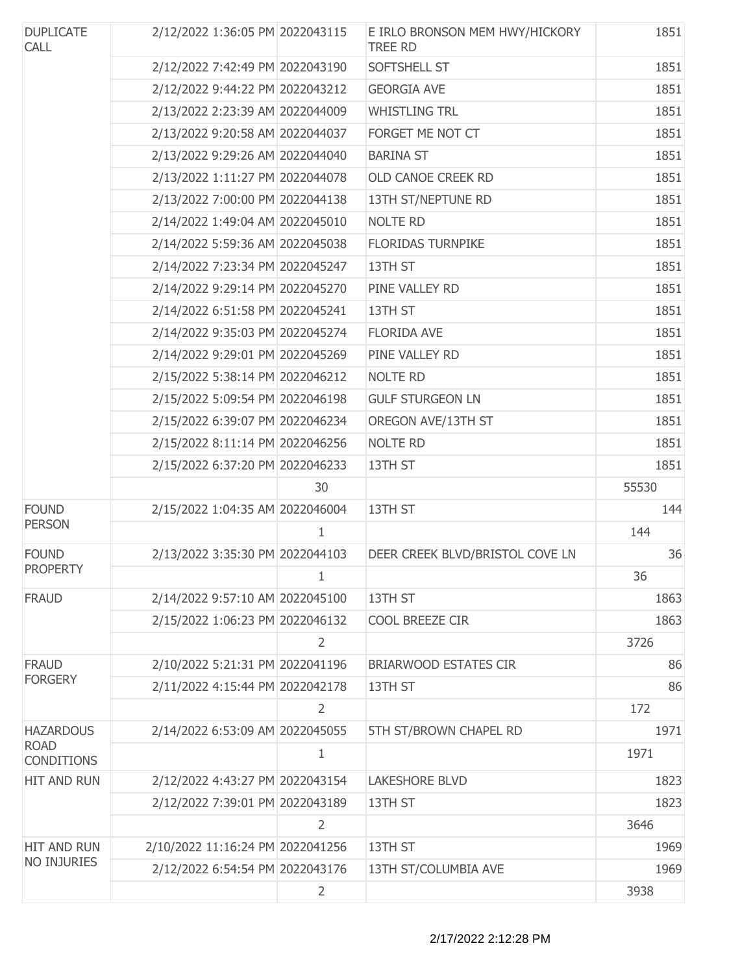| <b>DUPLICATE</b><br><b>CALL</b>  | 2/12/2022 1:36:05 PM 2022043115  |                | E IRLO BRONSON MEM HWY/HICKORY<br><b>TREE RD</b> | 1851  |
|----------------------------------|----------------------------------|----------------|--------------------------------------------------|-------|
|                                  | 2/12/2022 7:42:49 PM 2022043190  |                | SOFTSHELL ST                                     | 1851  |
|                                  | 2/12/2022 9:44:22 PM 2022043212  |                | <b>GEORGIA AVE</b>                               | 1851  |
|                                  | 2/13/2022 2:23:39 AM 2022044009  |                | <b>WHISTLING TRL</b>                             | 1851  |
|                                  | 2/13/2022 9:20:58 AM 2022044037  |                | FORGET ME NOT CT                                 | 1851  |
|                                  | 2/13/2022 9:29:26 AM 2022044040  |                | <b>BARINA ST</b>                                 | 1851  |
|                                  | 2/13/2022 1:11:27 PM 2022044078  |                | OLD CANOE CREEK RD                               | 1851  |
|                                  | 2/13/2022 7:00:00 PM 2022044138  |                | 13TH ST/NEPTUNE RD                               | 1851  |
|                                  | 2/14/2022 1:49:04 AM 2022045010  |                | <b>NOLTE RD</b>                                  | 1851  |
|                                  | 2/14/2022 5:59:36 AM 2022045038  |                | <b>FLORIDAS TURNPIKE</b>                         | 1851  |
|                                  | 2/14/2022 7:23:34 PM 2022045247  |                | 13TH ST                                          | 1851  |
|                                  | 2/14/2022 9:29:14 PM 2022045270  |                | PINE VALLEY RD                                   | 1851  |
|                                  | 2/14/2022 6:51:58 PM 2022045241  |                | 13TH ST                                          | 1851  |
|                                  | 2/14/2022 9:35:03 PM 2022045274  |                | <b>FLORIDA AVE</b>                               | 1851  |
|                                  | 2/14/2022 9:29:01 PM 2022045269  |                | PINE VALLEY RD                                   | 1851  |
|                                  | 2/15/2022 5:38:14 PM 2022046212  |                | <b>NOLTE RD</b>                                  | 1851  |
|                                  | 2/15/2022 5:09:54 PM 2022046198  |                | <b>GULF STURGEON LN</b>                          | 1851  |
|                                  | 2/15/2022 6:39:07 PM 2022046234  |                | OREGON AVE/13TH ST                               | 1851  |
|                                  | 2/15/2022 8:11:14 PM 2022046256  |                | <b>NOLTE RD</b>                                  | 1851  |
|                                  | 2/15/2022 6:37:20 PM 2022046233  |                | 13TH ST                                          | 1851  |
|                                  |                                  | 30             |                                                  | 55530 |
| <b>FOUND</b>                     | 2/15/2022 1:04:35 AM 2022046004  |                | 13TH ST                                          | 144   |
| <b>PERSON</b>                    |                                  | $\mathbf{1}$   |                                                  | 144   |
| <b>FOUND</b>                     | 2/13/2022 3:35:30 PM 2022044103  |                | DEER CREEK BLVD/BRISTOL COVE LN                  | 36    |
| <b>PROPERTY</b>                  |                                  |                |                                                  | 36    |
| <b>FRAUD</b>                     | 2/14/2022 9:57:10 AM 2022045100  |                | 13TH ST                                          | 1863  |
|                                  | 2/15/2022 1:06:23 PM 2022046132  |                | COOL BREEZE CIR                                  | 1863  |
|                                  |                                  | $\overline{2}$ |                                                  | 3726  |
| <b>FRAUD</b>                     | 2/10/2022 5:21:31 PM 2022041196  |                | <b>BRIARWOOD ESTATES CIR</b>                     | 86    |
| <b>FORGERY</b>                   | 2/11/2022 4:15:44 PM 2022042178  |                | 13TH ST                                          | 86    |
|                                  |                                  | $\overline{2}$ |                                                  | 172   |
| <b>HAZARDOUS</b>                 | 2/14/2022 6:53:09 AM 2022045055  |                | 5TH ST/BROWN CHAPEL RD                           | 1971  |
| <b>ROAD</b><br><b>CONDITIONS</b> |                                  | $\mathbf{1}$   |                                                  | 1971  |
| HIT AND RUN                      | 2/12/2022 4:43:27 PM 2022043154  |                | <b>LAKESHORE BLVD</b>                            | 1823  |
|                                  | 2/12/2022 7:39:01 PM 2022043189  |                | 13TH ST                                          | 1823  |
|                                  |                                  | $\overline{2}$ |                                                  | 3646  |
| HIT AND RUN                      | 2/10/2022 11:16:24 PM 2022041256 |                | 13TH ST                                          | 1969  |
| <b>NO INJURIES</b>               | 2/12/2022 6:54:54 PM 2022043176  |                | 13TH ST/COLUMBIA AVE                             | 1969  |
|                                  |                                  | $\overline{2}$ |                                                  | 3938  |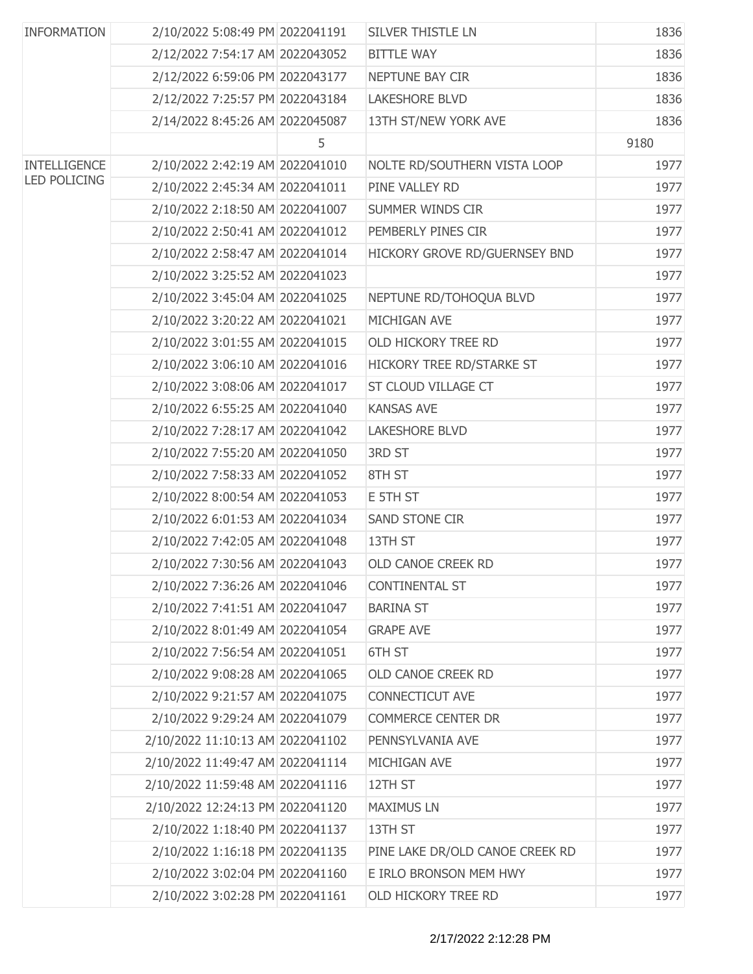| <b>INFORMATION</b>  | 2/10/2022 5:08:49 PM 2022041191  |   | <b>SILVER THISTLE LN</b>        | 1836 |
|---------------------|----------------------------------|---|---------------------------------|------|
|                     | 2/12/2022 7:54:17 AM 2022043052  |   | <b>BITTLE WAY</b>               | 1836 |
|                     | 2/12/2022 6:59:06 PM 2022043177  |   | NEPTUNE BAY CIR                 | 1836 |
|                     | 2/12/2022 7:25:57 PM 2022043184  |   | <b>LAKESHORE BLVD</b>           | 1836 |
|                     | 2/14/2022 8:45:26 AM 2022045087  |   | 13TH ST/NEW YORK AVE            | 1836 |
|                     |                                  | 5 |                                 | 9180 |
| INTELLIGENCE        | 2/10/2022 2:42:19 AM 2022041010  |   | NOLTE RD/SOUTHERN VISTA LOOP    | 1977 |
| <b>LED POLICING</b> | 2/10/2022 2:45:34 AM 2022041011  |   | PINE VALLEY RD                  | 1977 |
|                     | 2/10/2022 2:18:50 AM 2022041007  |   | SUMMER WINDS CIR                | 1977 |
|                     | 2/10/2022 2:50:41 AM 2022041012  |   | PEMBERLY PINES CIR              | 1977 |
|                     | 2/10/2022 2:58:47 AM 2022041014  |   | HICKORY GROVE RD/GUERNSEY BND   | 1977 |
|                     | 2/10/2022 3:25:52 AM 2022041023  |   |                                 | 1977 |
|                     | 2/10/2022 3:45:04 AM 2022041025  |   | NEPTUNE RD/TOHOQUA BLVD         | 1977 |
|                     | 2/10/2022 3:20:22 AM 2022041021  |   | MICHIGAN AVE                    | 1977 |
|                     | 2/10/2022 3:01:55 AM 2022041015  |   | OLD HICKORY TREE RD             | 1977 |
|                     | 2/10/2022 3:06:10 AM 2022041016  |   | HICKORY TREE RD/STARKE ST       | 1977 |
|                     | 2/10/2022 3:08:06 AM 2022041017  |   | ST CLOUD VILLAGE CT             | 1977 |
|                     | 2/10/2022 6:55:25 AM 2022041040  |   | <b>KANSAS AVE</b>               | 1977 |
|                     | 2/10/2022 7:28:17 AM 2022041042  |   | <b>LAKESHORE BLVD</b>           | 1977 |
|                     | 2/10/2022 7:55:20 AM 2022041050  |   | <b>3RD ST</b>                   | 1977 |
|                     | 2/10/2022 7:58:33 AM 2022041052  |   | 8TH ST                          | 1977 |
|                     | 2/10/2022 8:00:54 AM 2022041053  |   | E 5TH ST                        | 1977 |
|                     | 2/10/2022 6:01:53 AM 2022041034  |   | <b>SAND STONE CIR</b>           | 1977 |
|                     | 2/10/2022 7:42:05 AM 2022041048  |   | 13TH ST                         | 1977 |
|                     | 2/10/2022 7:30:56 AM 2022041043  |   | OLD CANOE CREEK RD              | 1977 |
|                     | 2/10/2022 7:36:26 AM 2022041046  |   | <b>CONTINENTAL ST</b>           | 1977 |
|                     | 2/10/2022 7:41:51 AM 2022041047  |   | <b>BARINA ST</b>                | 1977 |
|                     | 2/10/2022 8:01:49 AM 2022041054  |   | <b>GRAPE AVE</b>                | 1977 |
|                     | 2/10/2022 7:56:54 AM 2022041051  |   | 6TH ST                          | 1977 |
|                     | 2/10/2022 9:08:28 AM 2022041065  |   | OLD CANOE CREEK RD              | 1977 |
|                     | 2/10/2022 9:21:57 AM 2022041075  |   | <b>CONNECTICUT AVE</b>          | 1977 |
|                     | 2/10/2022 9:29:24 AM 2022041079  |   | <b>COMMERCE CENTER DR</b>       | 1977 |
|                     | 2/10/2022 11:10:13 AM 2022041102 |   | PENNSYLVANIA AVE                | 1977 |
|                     | 2/10/2022 11:49:47 AM 2022041114 |   | MICHIGAN AVE                    | 1977 |
|                     | 2/10/2022 11:59:48 AM 2022041116 |   | 12TH ST                         | 1977 |
|                     | 2/10/2022 12:24:13 PM 2022041120 |   | <b>MAXIMUS LN</b>               | 1977 |
|                     | 2/10/2022 1:18:40 PM 2022041137  |   | 13TH ST                         | 1977 |
|                     | 2/10/2022 1:16:18 PM 2022041135  |   | PINE LAKE DR/OLD CANOE CREEK RD | 1977 |
|                     | 2/10/2022 3:02:04 PM 2022041160  |   | E IRLO BRONSON MEM HWY          | 1977 |
|                     | 2/10/2022 3:02:28 PM 2022041161  |   | OLD HICKORY TREE RD             | 1977 |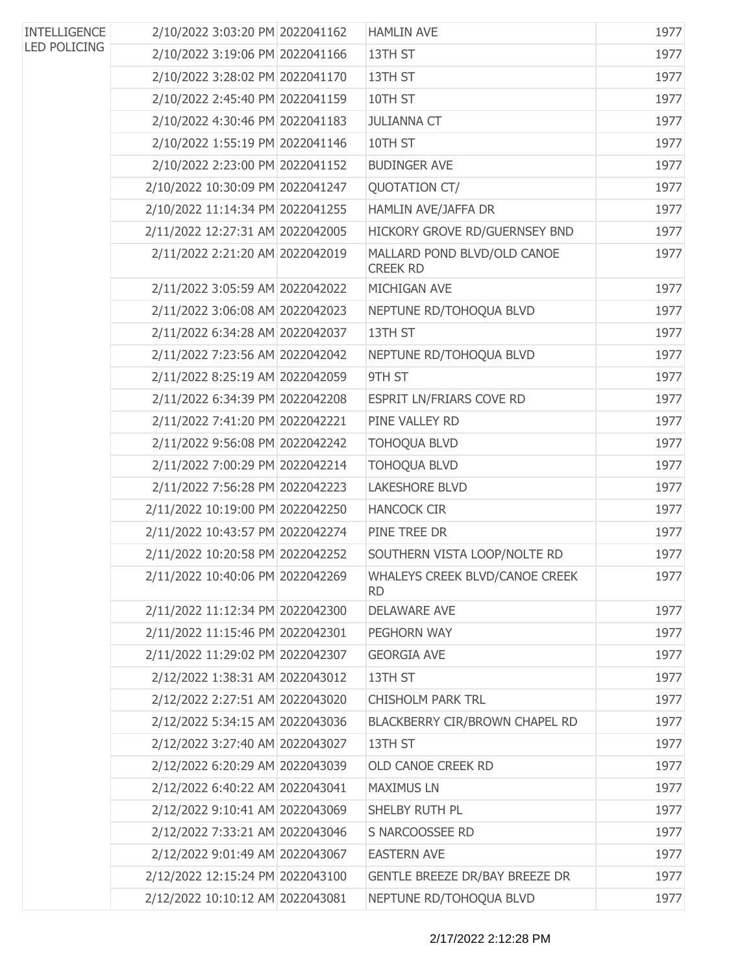| <b>INTELLIGENCE</b> | 2/10/2022 3:03:20 PM 2022041162  | <b>HAMLIN AVE</b>                              | 1977 |
|---------------------|----------------------------------|------------------------------------------------|------|
| <b>LED POLICING</b> | 2/10/2022 3:19:06 PM 2022041166  | 13TH ST                                        | 1977 |
|                     | 2/10/2022 3:28:02 PM 2022041170  | 13TH ST                                        | 1977 |
|                     | 2/10/2022 2:45:40 PM 2022041159  | 10TH ST                                        | 1977 |
|                     | 2/10/2022 4:30:46 PM 2022041183  | <b>JULIANNA CT</b>                             | 1977 |
|                     | 2/10/2022 1:55:19 PM 2022041146  | 10TH ST                                        | 1977 |
|                     | 2/10/2022 2:23:00 PM 2022041152  | <b>BUDINGER AVE</b>                            | 1977 |
|                     | 2/10/2022 10:30:09 PM 2022041247 | <b>OUOTATION CT/</b>                           | 1977 |
|                     | 2/10/2022 11:14:34 PM 2022041255 | HAMLIN AVE/JAFFA DR                            | 1977 |
|                     | 2/11/2022 12:27:31 AM 2022042005 | HICKORY GROVE RD/GUERNSEY BND                  | 1977 |
|                     | 2/11/2022 2:21:20 AM 2022042019  | MALLARD POND BLVD/OLD CANOE<br><b>CREEK RD</b> | 1977 |
|                     | 2/11/2022 3:05:59 AM 2022042022  | MICHIGAN AVE                                   | 1977 |
|                     | 2/11/2022 3:06:08 AM 2022042023  | NEPTUNE RD/TOHOQUA BLVD                        | 1977 |
|                     | 2/11/2022 6:34:28 AM 2022042037  | 13TH ST                                        | 1977 |
|                     | 2/11/2022 7:23:56 AM 2022042042  | NEPTUNE RD/TOHOQUA BLVD                        | 1977 |
|                     | 2/11/2022 8:25:19 AM 2022042059  | 9TH ST                                         | 1977 |
|                     | 2/11/2022 6:34:39 PM 2022042208  | ESPRIT LN/FRIARS COVE RD                       | 1977 |
|                     | 2/11/2022 7:41:20 PM 2022042221  | PINE VALLEY RD                                 | 1977 |
|                     | 2/11/2022 9:56:08 PM 2022042242  | <b>TOHOQUA BLVD</b>                            | 1977 |
|                     | 2/11/2022 7:00:29 PM 2022042214  | <b>TOHOQUA BLVD</b>                            | 1977 |
|                     | 2/11/2022 7:56:28 PM 2022042223  | LAKESHORE BLVD                                 | 1977 |
|                     | 2/11/2022 10:19:00 PM 2022042250 | <b>HANCOCK CIR</b>                             | 1977 |
|                     | 2/11/2022 10:43:57 PM 2022042274 | PINE TREE DR                                   | 1977 |
|                     | 2/11/2022 10:20:58 PM 2022042252 | SOUTHERN VISTA LOOP/NOLTE RD                   | 1977 |
|                     | 2/11/2022 10:40:06 PM 2022042269 | WHALEYS CREEK BLVD/CANOE CREEK<br><b>RD</b>    | 1977 |
|                     | 2/11/2022 11:12:34 PM 2022042300 | <b>DELAWARE AVE</b>                            | 1977 |
|                     | 2/11/2022 11:15:46 PM 2022042301 | PEGHORN WAY                                    | 1977 |
|                     | 2/11/2022 11:29:02 PM 2022042307 | <b>GEORGIA AVE</b>                             | 1977 |
|                     | 2/12/2022 1:38:31 AM 2022043012  | 13TH ST                                        | 1977 |
|                     | 2/12/2022 2:27:51 AM 2022043020  | <b>CHISHOLM PARK TRL</b>                       | 1977 |
|                     | 2/12/2022 5:34:15 AM 2022043036  | BLACKBERRY CIR/BROWN CHAPEL RD                 | 1977 |
|                     | 2/12/2022 3:27:40 AM 2022043027  | 13TH ST                                        | 1977 |
|                     | 2/12/2022 6:20:29 AM 2022043039  | OLD CANOE CREEK RD                             | 1977 |
|                     | 2/12/2022 6:40:22 AM 2022043041  | <b>MAXIMUS LN</b>                              | 1977 |
|                     | 2/12/2022 9:10:41 AM 2022043069  | SHELBY RUTH PL                                 | 1977 |
|                     | 2/12/2022 7:33:21 AM 2022043046  | S NARCOOSSEE RD                                | 1977 |
|                     | 2/12/2022 9:01:49 AM 2022043067  | <b>EASTERN AVE</b>                             | 1977 |
|                     | 2/12/2022 12:15:24 PM 2022043100 | <b>GENTLE BREEZE DR/BAY BREEZE DR</b>          | 1977 |
|                     | 2/12/2022 10:10:12 AM 2022043081 | NEPTUNE RD/TOHOQUA BLVD                        | 1977 |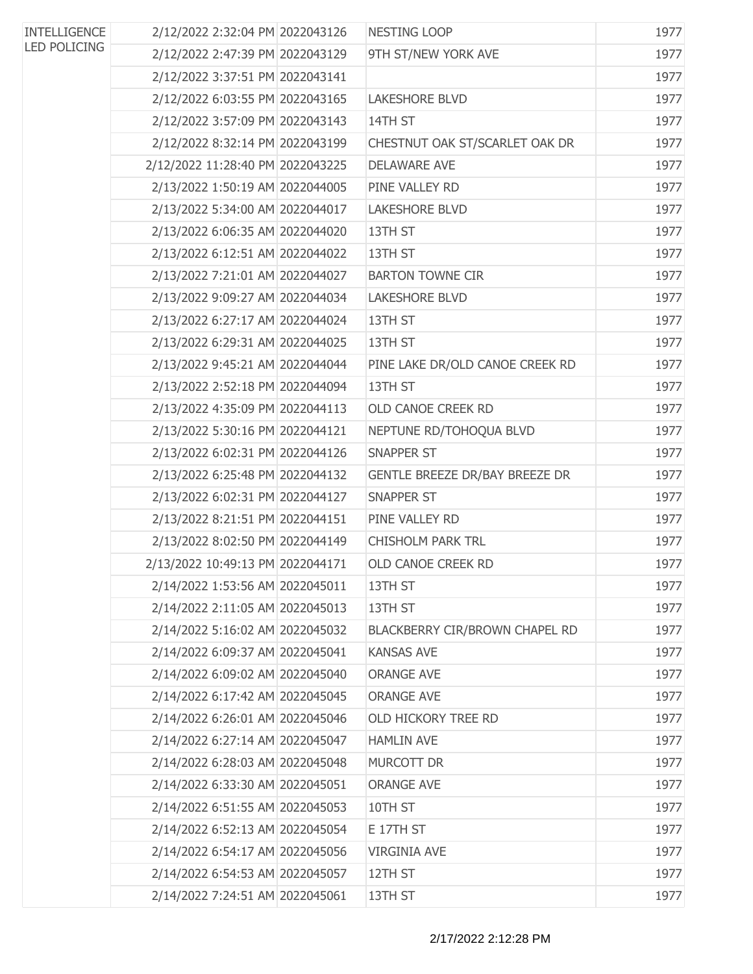| <b>INTELLIGENCE</b><br><b>LED POLICING</b> | 2/12/2022 2:32:04 PM 2022043126  | NESTING LOOP                    | 1977 |
|--------------------------------------------|----------------------------------|---------------------------------|------|
|                                            | 2/12/2022 2:47:39 PM 2022043129  | 9TH ST/NEW YORK AVE             | 1977 |
|                                            | 2/12/2022 3:37:51 PM 2022043141  |                                 | 1977 |
|                                            | 2/12/2022 6:03:55 PM 2022043165  | <b>LAKESHORE BLVD</b>           | 1977 |
|                                            | 2/12/2022 3:57:09 PM 2022043143  | 14TH ST                         | 1977 |
|                                            | 2/12/2022 8:32:14 PM 2022043199  | CHESTNUT OAK ST/SCARLET OAK DR  | 1977 |
|                                            | 2/12/2022 11:28:40 PM 2022043225 | <b>DELAWARE AVE</b>             | 1977 |
|                                            | 2/13/2022 1:50:19 AM 2022044005  | PINE VALLEY RD                  | 1977 |
|                                            | 2/13/2022 5:34:00 AM 2022044017  | <b>LAKESHORE BLVD</b>           | 1977 |
|                                            | 2/13/2022 6:06:35 AM 2022044020  | 13TH ST                         | 1977 |
|                                            | 2/13/2022 6:12:51 AM 2022044022  | 13TH ST                         | 1977 |
|                                            | 2/13/2022 7:21:01 AM 2022044027  | <b>BARTON TOWNE CIR</b>         | 1977 |
|                                            | 2/13/2022 9:09:27 AM 2022044034  | <b>LAKESHORE BLVD</b>           | 1977 |
|                                            | 2/13/2022 6:27:17 AM 2022044024  | 13TH ST                         | 1977 |
|                                            | 2/13/2022 6:29:31 AM 2022044025  | 13TH ST                         | 1977 |
|                                            | 2/13/2022 9:45:21 AM 2022044044  | PINE LAKE DR/OLD CANOE CREEK RD | 1977 |
|                                            | 2/13/2022 2:52:18 PM 2022044094  | 13TH ST                         | 1977 |
|                                            | 2/13/2022 4:35:09 PM 2022044113  | OLD CANOE CREEK RD              | 1977 |
|                                            | 2/13/2022 5:30:16 PM 2022044121  | NEPTUNE RD/TOHOQUA BLVD         | 1977 |
|                                            | 2/13/2022 6:02:31 PM 2022044126  | <b>SNAPPER ST</b>               | 1977 |
|                                            | 2/13/2022 6:25:48 PM 2022044132  | GENTLE BREEZE DR/BAY BREEZE DR  | 1977 |
|                                            | 2/13/2022 6:02:31 PM 2022044127  | <b>SNAPPER ST</b>               | 1977 |
|                                            | 2/13/2022 8:21:51 PM 2022044151  | PINE VALLEY RD                  | 1977 |
|                                            | 2/13/2022 8:02:50 PM 2022044149  | <b>CHISHOLM PARK TRL</b>        | 1977 |
|                                            | 2/13/2022 10:49:13 PM 2022044171 | <b>OLD CANOE CREEK RD</b>       | 1977 |
|                                            | 2/14/2022 1:53:56 AM 2022045011  | 13TH ST                         | 1977 |
|                                            | 2/14/2022 2:11:05 AM 2022045013  | 13TH ST                         | 1977 |
|                                            | 2/14/2022 5:16:02 AM 2022045032  | BLACKBERRY CIR/BROWN CHAPEL RD  | 1977 |
|                                            | 2/14/2022 6:09:37 AM 2022045041  | <b>KANSAS AVE</b>               | 1977 |
|                                            | 2/14/2022 6:09:02 AM 2022045040  | <b>ORANGE AVE</b>               | 1977 |
|                                            | 2/14/2022 6:17:42 AM 2022045045  | <b>ORANGE AVE</b>               | 1977 |
|                                            | 2/14/2022 6:26:01 AM 2022045046  | OLD HICKORY TREE RD             | 1977 |
|                                            | 2/14/2022 6:27:14 AM 2022045047  | <b>HAMLIN AVE</b>               | 1977 |
|                                            | 2/14/2022 6:28:03 AM 2022045048  | <b>MURCOTT DR</b>               | 1977 |
|                                            | 2/14/2022 6:33:30 AM 2022045051  | <b>ORANGE AVE</b>               | 1977 |
|                                            | 2/14/2022 6:51:55 AM 2022045053  | 10TH ST                         | 1977 |
|                                            | 2/14/2022 6:52:13 AM 2022045054  | E 17TH ST                       | 1977 |
|                                            | 2/14/2022 6:54:17 AM 2022045056  | <b>VIRGINIA AVE</b>             | 1977 |
|                                            | 2/14/2022 6:54:53 AM 2022045057  | 12TH ST                         | 1977 |
|                                            | 2/14/2022 7:24:51 AM 2022045061  | 13TH ST                         | 1977 |
|                                            |                                  |                                 |      |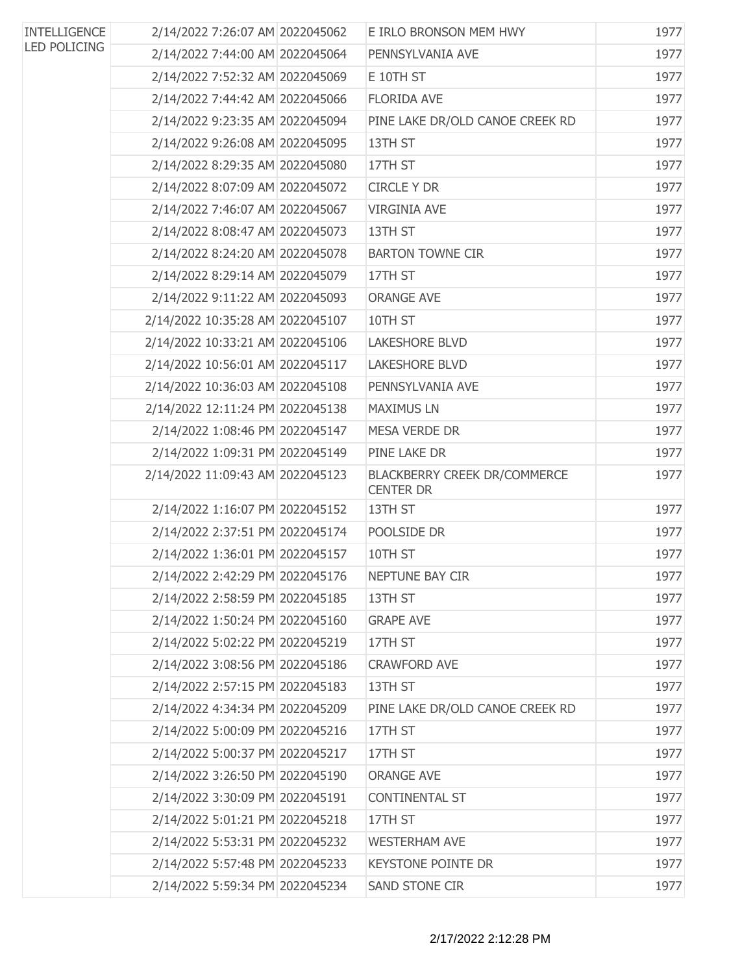| <b>INTELLIGENCE</b> | 2/14/2022 7:26:07 AM 2022045062  | E IRLO BRONSON MEM HWY                                  | 1977 |
|---------------------|----------------------------------|---------------------------------------------------------|------|
| <b>LED POLICING</b> | 2/14/2022 7:44:00 AM 2022045064  | PENNSYLVANIA AVE                                        | 1977 |
|                     | 2/14/2022 7:52:32 AM 2022045069  | E 10TH ST                                               | 1977 |
|                     | 2/14/2022 7:44:42 AM 2022045066  | <b>FLORIDA AVE</b>                                      | 1977 |
|                     | 2/14/2022 9:23:35 AM 2022045094  | PINE LAKE DR/OLD CANOE CREEK RD                         | 1977 |
|                     | 2/14/2022 9:26:08 AM 2022045095  | 13TH ST                                                 | 1977 |
|                     | 2/14/2022 8:29:35 AM 2022045080  | 17TH ST                                                 | 1977 |
|                     | 2/14/2022 8:07:09 AM 2022045072  | <b>CIRCLE Y DR</b>                                      | 1977 |
|                     | 2/14/2022 7:46:07 AM 2022045067  | <b>VIRGINIA AVE</b>                                     | 1977 |
|                     | 2/14/2022 8:08:47 AM 2022045073  | 13TH ST                                                 | 1977 |
|                     | 2/14/2022 8:24:20 AM 2022045078  | <b>BARTON TOWNE CIR</b>                                 | 1977 |
|                     | 2/14/2022 8:29:14 AM 2022045079  | 17TH ST                                                 | 1977 |
|                     | 2/14/2022 9:11:22 AM 2022045093  | <b>ORANGE AVE</b>                                       | 1977 |
|                     | 2/14/2022 10:35:28 AM 2022045107 | 10TH ST                                                 | 1977 |
|                     | 2/14/2022 10:33:21 AM 2022045106 | <b>LAKESHORE BLVD</b>                                   | 1977 |
|                     | 2/14/2022 10:56:01 AM 2022045117 | <b>LAKESHORE BLVD</b>                                   | 1977 |
|                     | 2/14/2022 10:36:03 AM 2022045108 | PENNSYLVANIA AVE                                        | 1977 |
|                     | 2/14/2022 12:11:24 PM 2022045138 | <b>MAXIMUS LN</b>                                       | 1977 |
|                     | 2/14/2022 1:08:46 PM 2022045147  | <b>MESA VERDE DR</b>                                    | 1977 |
|                     | 2/14/2022 1:09:31 PM 2022045149  | PINE LAKE DR                                            | 1977 |
|                     | 2/14/2022 11:09:43 AM 2022045123 | <b>BLACKBERRY CREEK DR/COMMERCE</b><br><b>CENTER DR</b> | 1977 |
|                     | 2/14/2022 1:16:07 PM 2022045152  | 13TH ST                                                 | 1977 |
|                     | 2/14/2022 2:37:51 PM 2022045174  | POOLSIDE DR                                             | 1977 |
|                     | 2/14/2022 1:36:01 PM 2022045157  | 10TH ST                                                 | 1977 |
|                     | 2/14/2022 2:42:29 PM 2022045176  | NEPTUNE BAY CIR                                         | 1977 |
|                     | 2/14/2022 2:58:59 PM 2022045185  | 13TH ST                                                 | 1977 |
|                     | 2/14/2022 1:50:24 PM 2022045160  | <b>GRAPE AVE</b>                                        | 1977 |
|                     | 2/14/2022 5:02:22 PM 2022045219  | 17TH ST                                                 | 1977 |
|                     | 2/14/2022 3:08:56 PM 2022045186  | <b>CRAWFORD AVE</b>                                     | 1977 |
|                     | 2/14/2022 2:57:15 PM 2022045183  | 13TH ST                                                 | 1977 |
|                     | 2/14/2022 4:34:34 PM 2022045209  | PINE LAKE DR/OLD CANOE CREEK RD                         | 1977 |
|                     | 2/14/2022 5:00:09 PM 2022045216  | 17TH ST                                                 | 1977 |
|                     | 2/14/2022 5:00:37 PM 2022045217  | 17TH ST                                                 | 1977 |
|                     | 2/14/2022 3:26:50 PM 2022045190  | <b>ORANGE AVE</b>                                       | 1977 |
|                     | 2/14/2022 3:30:09 PM 2022045191  | <b>CONTINENTAL ST</b>                                   | 1977 |
|                     | 2/14/2022 5:01:21 PM 2022045218  | 17TH ST                                                 | 1977 |
|                     | 2/14/2022 5:53:31 PM 2022045232  | <b>WESTERHAM AVE</b>                                    | 1977 |
|                     | 2/14/2022 5:57:48 PM 2022045233  | <b>KEYSTONE POINTE DR</b>                               | 1977 |
|                     | 2/14/2022 5:59:34 PM 2022045234  | <b>SAND STONE CIR</b>                                   | 1977 |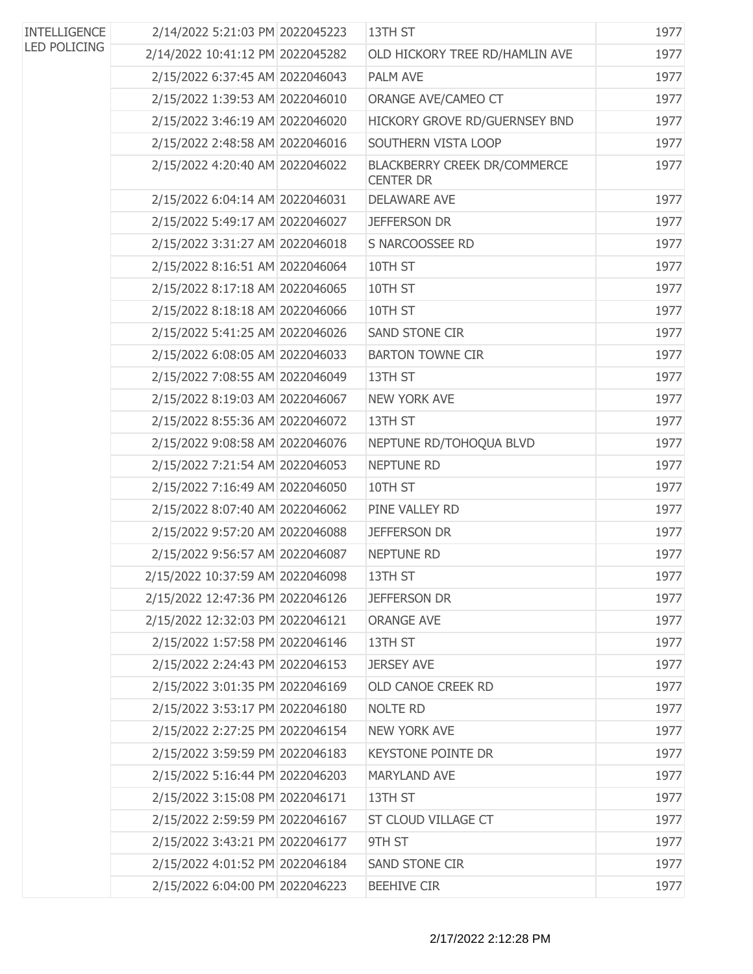| <b>INTELLIGENCE</b><br><b>LED POLICING</b> | 2/14/2022 5:21:03 PM 2022045223  | 13TH ST                                          | 1977 |
|--------------------------------------------|----------------------------------|--------------------------------------------------|------|
|                                            | 2/14/2022 10:41:12 PM 2022045282 | OLD HICKORY TREE RD/HAMLIN AVE                   | 1977 |
|                                            | 2/15/2022 6:37:45 AM 2022046043  | <b>PALM AVE</b>                                  | 1977 |
|                                            | 2/15/2022 1:39:53 AM 2022046010  | ORANGE AVE/CAMEO CT                              | 1977 |
|                                            | 2/15/2022 3:46:19 AM 2022046020  | HICKORY GROVE RD/GUERNSEY BND                    | 1977 |
|                                            | 2/15/2022 2:48:58 AM 2022046016  | SOUTHERN VISTA LOOP                              | 1977 |
|                                            | 2/15/2022 4:20:40 AM 2022046022  | BLACKBERRY CREEK DR/COMMERCE<br><b>CENTER DR</b> | 1977 |
|                                            | 2/15/2022 6:04:14 AM 2022046031  | <b>DELAWARE AVE</b>                              | 1977 |
|                                            | 2/15/2022 5:49:17 AM 2022046027  | <b>JEFFERSON DR</b>                              | 1977 |
|                                            | 2/15/2022 3:31:27 AM 2022046018  | S NARCOOSSEE RD                                  | 1977 |
|                                            | 2/15/2022 8:16:51 AM 2022046064  | 10TH ST                                          | 1977 |
|                                            | 2/15/2022 8:17:18 AM 2022046065  | 10TH ST                                          | 1977 |
|                                            | 2/15/2022 8:18:18 AM 2022046066  | 10TH ST                                          | 1977 |
|                                            | 2/15/2022 5:41:25 AM 2022046026  | <b>SAND STONE CIR</b>                            | 1977 |
|                                            | 2/15/2022 6:08:05 AM 2022046033  | <b>BARTON TOWNE CIR</b>                          | 1977 |
|                                            | 2/15/2022 7:08:55 AM 2022046049  | 13TH ST                                          | 1977 |
|                                            | 2/15/2022 8:19:03 AM 2022046067  | <b>NEW YORK AVE</b>                              | 1977 |
|                                            | 2/15/2022 8:55:36 AM 2022046072  | 13TH ST                                          | 1977 |
|                                            | 2/15/2022 9:08:58 AM 2022046076  | NEPTUNE RD/TOHOQUA BLVD                          | 1977 |
|                                            | 2/15/2022 7:21:54 AM 2022046053  | <b>NEPTUNE RD</b>                                | 1977 |
|                                            | 2/15/2022 7:16:49 AM 2022046050  | 10TH ST                                          | 1977 |
|                                            | 2/15/2022 8:07:40 AM 2022046062  | PINE VALLEY RD                                   | 1977 |
|                                            | 2/15/2022 9:57:20 AM 2022046088  | JEFFERSON DR                                     | 1977 |
|                                            | 2/15/2022 9:56:57 AM 2022046087  | <b>NEPTUNE RD</b>                                | 1977 |
|                                            | 2/15/2022 10:37:59 AM 2022046098 | 13TH ST                                          | 1977 |
|                                            | 2/15/2022 12:47:36 PM 2022046126 | JEFFERSON DR                                     | 1977 |
|                                            | 2/15/2022 12:32:03 PM 2022046121 | <b>ORANGE AVE</b>                                | 1977 |
|                                            | 2/15/2022 1:57:58 PM 2022046146  | 13TH ST                                          | 1977 |
|                                            | 2/15/2022 2:24:43 PM 2022046153  | <b>JERSEY AVE</b>                                | 1977 |
|                                            | 2/15/2022 3:01:35 PM 2022046169  | OLD CANOE CREEK RD                               | 1977 |
|                                            | 2/15/2022 3:53:17 PM 2022046180  | <b>NOLTE RD</b>                                  | 1977 |
|                                            | 2/15/2022 2:27:25 PM 2022046154  | <b>NEW YORK AVE</b>                              | 1977 |
|                                            | 2/15/2022 3:59:59 PM 2022046183  | <b>KEYSTONE POINTE DR</b>                        | 1977 |
|                                            | 2/15/2022 5:16:44 PM 2022046203  | MARYLAND AVE                                     | 1977 |
|                                            | 2/15/2022 3:15:08 PM 2022046171  | 13TH ST                                          | 1977 |
|                                            | 2/15/2022 2:59:59 PM 2022046167  | ST CLOUD VILLAGE CT                              | 1977 |
|                                            | 2/15/2022 3:43:21 PM 2022046177  | 9TH ST                                           | 1977 |
|                                            | 2/15/2022 4:01:52 PM 2022046184  | <b>SAND STONE CIR</b>                            | 1977 |
|                                            | 2/15/2022 6:04:00 PM 2022046223  | <b>BEEHIVE CIR</b>                               | 1977 |
|                                            |                                  |                                                  |      |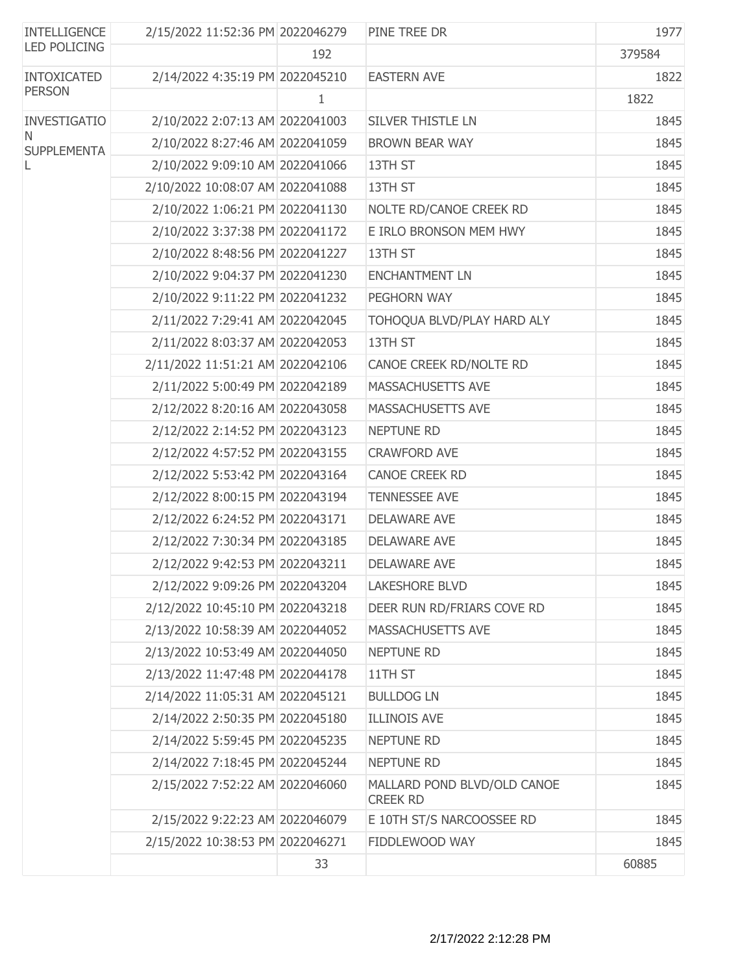| <b>INTELLIGENCE</b>     | 2/15/2022 11:52:36 PM 2022046279 |     | PINE TREE DR                                   | 1977   |
|-------------------------|----------------------------------|-----|------------------------------------------------|--------|
| <b>LED POLICING</b>     |                                  | 192 |                                                | 379584 |
| <b>INTOXICATED</b>      | 2/14/2022 4:35:19 PM 2022045210  |     | <b>EASTERN AVE</b>                             | 1822   |
| <b>PERSON</b>           |                                  | 1   |                                                | 1822   |
| INVESTIGATIO            | 2/10/2022 2:07:13 AM 2022041003  |     | <b>SILVER THISTLE LN</b>                       | 1845   |
| N<br><b>SUPPLEMENTA</b> | 2/10/2022 8:27:46 AM 2022041059  |     | <b>BROWN BEAR WAY</b>                          | 1845   |
|                         | 2/10/2022 9:09:10 AM 2022041066  |     | 13TH ST                                        | 1845   |
|                         | 2/10/2022 10:08:07 AM 2022041088 |     | 13TH ST                                        | 1845   |
|                         | 2/10/2022 1:06:21 PM 2022041130  |     | NOLTE RD/CANOE CREEK RD                        | 1845   |
|                         | 2/10/2022 3:37:38 PM 2022041172  |     | E IRLO BRONSON MEM HWY                         | 1845   |
|                         | 2/10/2022 8:48:56 PM 2022041227  |     | 13TH ST                                        | 1845   |
|                         | 2/10/2022 9:04:37 PM 2022041230  |     | <b>ENCHANTMENT LN</b>                          | 1845   |
|                         | 2/10/2022 9:11:22 PM 2022041232  |     | PEGHORN WAY                                    | 1845   |
|                         | 2/11/2022 7:29:41 AM 2022042045  |     | TOHOQUA BLVD/PLAY HARD ALY                     | 1845   |
|                         | 2/11/2022 8:03:37 AM 2022042053  |     | 13TH ST                                        | 1845   |
|                         | 2/11/2022 11:51:21 AM 2022042106 |     | CANOE CREEK RD/NOLTE RD                        | 1845   |
|                         | 2/11/2022 5:00:49 PM 2022042189  |     | MASSACHUSETTS AVE                              | 1845   |
|                         | 2/12/2022 8:20:16 AM 2022043058  |     | MASSACHUSETTS AVE                              | 1845   |
|                         | 2/12/2022 2:14:52 PM 2022043123  |     | NEPTUNE RD                                     | 1845   |
|                         | 2/12/2022 4:57:52 PM 2022043155  |     | <b>CRAWFORD AVE</b>                            | 1845   |
|                         | 2/12/2022 5:53:42 PM 2022043164  |     | <b>CANOE CREEK RD</b>                          | 1845   |
|                         | 2/12/2022 8:00:15 PM 2022043194  |     | <b>TENNESSEE AVE</b>                           | 1845   |
|                         | 2/12/2022 6:24:52 PM 2022043171  |     | <b>DELAWARE AVE</b>                            | 1845   |
|                         | 2/12/2022 7:30:34 PM 2022043185  |     | <b>DELAWARE AVE</b>                            | 1845   |
|                         | 2/12/2022 9:42:53 PM 2022043211  |     | <b>DELAWARE AVE</b>                            | 1845   |
|                         | 2/12/2022 9:09:26 PM 2022043204  |     | <b>LAKESHORE BLVD</b>                          | 1845   |
|                         | 2/12/2022 10:45:10 PM 2022043218 |     | DEER RUN RD/FRIARS COVE RD                     | 1845   |
|                         | 2/13/2022 10:58:39 AM 2022044052 |     | MASSACHUSETTS AVE                              | 1845   |
|                         | 2/13/2022 10:53:49 AM 2022044050 |     | <b>NEPTUNE RD</b>                              | 1845   |
|                         | 2/13/2022 11:47:48 PM 2022044178 |     | 11TH ST                                        | 1845   |
|                         | 2/14/2022 11:05:31 AM 2022045121 |     | <b>BULLDOG LN</b>                              | 1845   |
|                         | 2/14/2022 2:50:35 PM 2022045180  |     | <b>ILLINOIS AVE</b>                            | 1845   |
|                         | 2/14/2022 5:59:45 PM 2022045235  |     | <b>NEPTUNE RD</b>                              | 1845   |
|                         | 2/14/2022 7:18:45 PM 2022045244  |     | NEPTUNE RD                                     | 1845   |
|                         | 2/15/2022 7:52:22 AM 2022046060  |     | MALLARD POND BLVD/OLD CANOE<br><b>CREEK RD</b> | 1845   |
|                         | 2/15/2022 9:22:23 AM 2022046079  |     | E 10TH ST/S NARCOOSSEE RD                      | 1845   |
|                         | 2/15/2022 10:38:53 PM 2022046271 |     | FIDDLEWOOD WAY                                 | 1845   |
|                         |                                  | 33  |                                                | 60885  |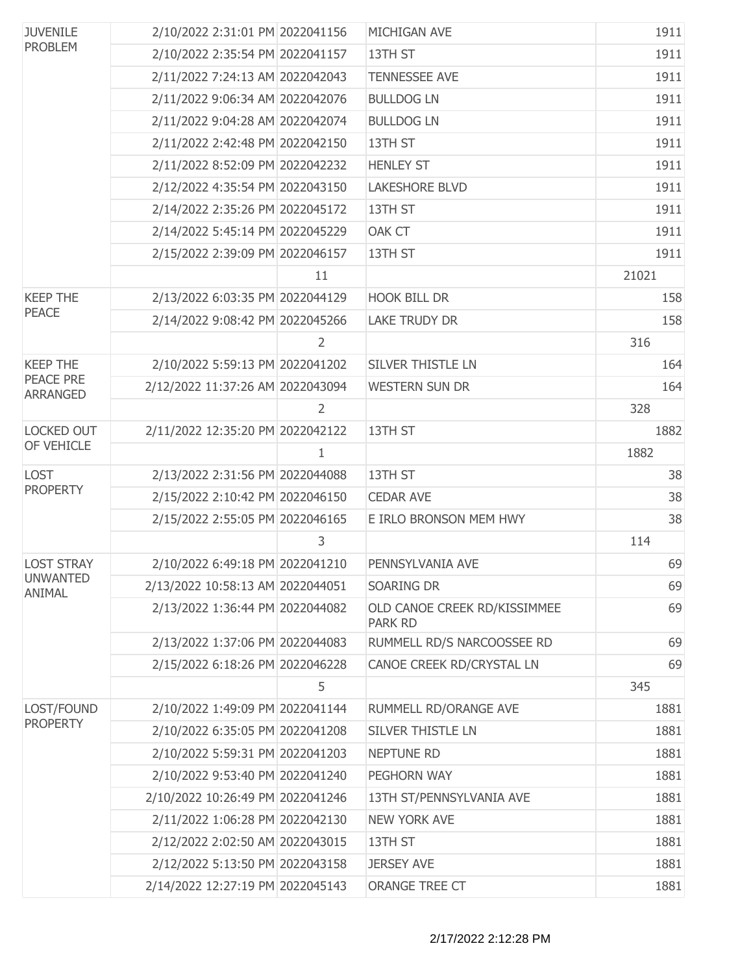| <b>JUVENILE</b><br><b>PROBLEM</b>   | 2/10/2022 2:31:01 PM 2022041156  |    | MICHIGAN AVE                                   | 1911  |
|-------------------------------------|----------------------------------|----|------------------------------------------------|-------|
|                                     | 2/10/2022 2:35:54 PM 2022041157  |    | 13TH ST                                        | 1911  |
|                                     | 2/11/2022 7:24:13 AM 2022042043  |    | <b>TENNESSEE AVE</b>                           | 1911  |
|                                     | 2/11/2022 9:06:34 AM 2022042076  |    | <b>BULLDOG LN</b>                              | 1911  |
|                                     | 2/11/2022 9:04:28 AM 2022042074  |    | <b>BULLDOG LN</b>                              | 1911  |
|                                     | 2/11/2022 2:42:48 PM 2022042150  |    | 13TH ST                                        | 1911  |
|                                     | 2/11/2022 8:52:09 PM 2022042232  |    | <b>HENLEY ST</b>                               | 1911  |
|                                     | 2/12/2022 4:35:54 PM 2022043150  |    | <b>LAKESHORE BLVD</b>                          | 1911  |
|                                     | 2/14/2022 2:35:26 PM 2022045172  |    | 13TH ST                                        | 1911  |
|                                     | 2/14/2022 5:45:14 PM 2022045229  |    | <b>OAK CT</b>                                  | 1911  |
|                                     | 2/15/2022 2:39:09 PM 2022046157  |    | 13TH ST                                        | 1911  |
|                                     |                                  | 11 |                                                | 21021 |
| <b>KEEP THE</b>                     | 2/13/2022 6:03:35 PM 2022044129  |    | <b>HOOK BILL DR</b>                            | 158   |
| <b>PEACE</b>                        | 2/14/2022 9:08:42 PM 2022045266  |    | <b>LAKE TRUDY DR</b>                           | 158   |
|                                     |                                  | 2  |                                                | 316   |
| <b>KEEP THE</b>                     | 2/10/2022 5:59:13 PM 2022041202  |    | <b>SILVER THISTLE LN</b>                       | 164   |
| <b>PEACE PRE</b><br><b>ARRANGED</b> | 2/12/2022 11:37:26 AM 2022043094 |    | <b>WESTERN SUN DR</b>                          | 164   |
|                                     |                                  | 2  |                                                | 328   |
| <b>LOCKED OUT</b>                   | 2/11/2022 12:35:20 PM 2022042122 |    | 13TH ST                                        | 1882  |
| OF VEHICLE                          |                                  | 1  |                                                | 1882  |
| <b>LOST</b>                         | 2/13/2022 2:31:56 PM 2022044088  |    | 13TH ST                                        | 38    |
| <b>PROPERTY</b>                     | 2/15/2022 2:10:42 PM 2022046150  |    | <b>CEDAR AVE</b>                               | 38    |
|                                     | 2/15/2022 2:55:05 PM 2022046165  |    | E IRLO BRONSON MEM HWY                         | 38    |
|                                     |                                  | 3  |                                                | 114   |
| <b>LOST STRAY</b>                   | 2/10/2022 6:49:18 PM 2022041210  |    | PENNSYLVANIA AVE                               | 69    |
| <b>UNWANTED</b><br>ANIMAL           | 2/13/2022 10:58:13 AM 2022044051 |    | SOARING DR                                     | 69    |
|                                     | 2/13/2022 1:36:44 PM 2022044082  |    | OLD CANOE CREEK RD/KISSIMMEE<br><b>PARK RD</b> | 69    |
|                                     | 2/13/2022 1:37:06 PM 2022044083  |    | RUMMELL RD/S NARCOOSSEE RD                     | 69    |
|                                     | 2/15/2022 6:18:26 PM 2022046228  |    | CANOE CREEK RD/CRYSTAL LN                      | 69    |
|                                     |                                  | 5  |                                                | 345   |
| LOST/FOUND                          | 2/10/2022 1:49:09 PM 2022041144  |    | RUMMELL RD/ORANGE AVE                          | 1881  |
| <b>PROPERTY</b>                     | 2/10/2022 6:35:05 PM 2022041208  |    | <b>SILVER THISTLE LN</b>                       | 1881  |
|                                     | 2/10/2022 5:59:31 PM 2022041203  |    | <b>NEPTUNE RD</b>                              | 1881  |
|                                     | 2/10/2022 9:53:40 PM 2022041240  |    | PEGHORN WAY                                    | 1881  |
|                                     | 2/10/2022 10:26:49 PM 2022041246 |    | 13TH ST/PENNSYLVANIA AVE                       | 1881  |
|                                     | 2/11/2022 1:06:28 PM 2022042130  |    | <b>NEW YORK AVE</b>                            | 1881  |
|                                     | 2/12/2022 2:02:50 AM 2022043015  |    | 13TH ST                                        | 1881  |
|                                     | 2/12/2022 5:13:50 PM 2022043158  |    | <b>JERSEY AVE</b>                              | 1881  |
|                                     | 2/14/2022 12:27:19 PM 2022045143 |    | ORANGE TREE CT                                 | 1881  |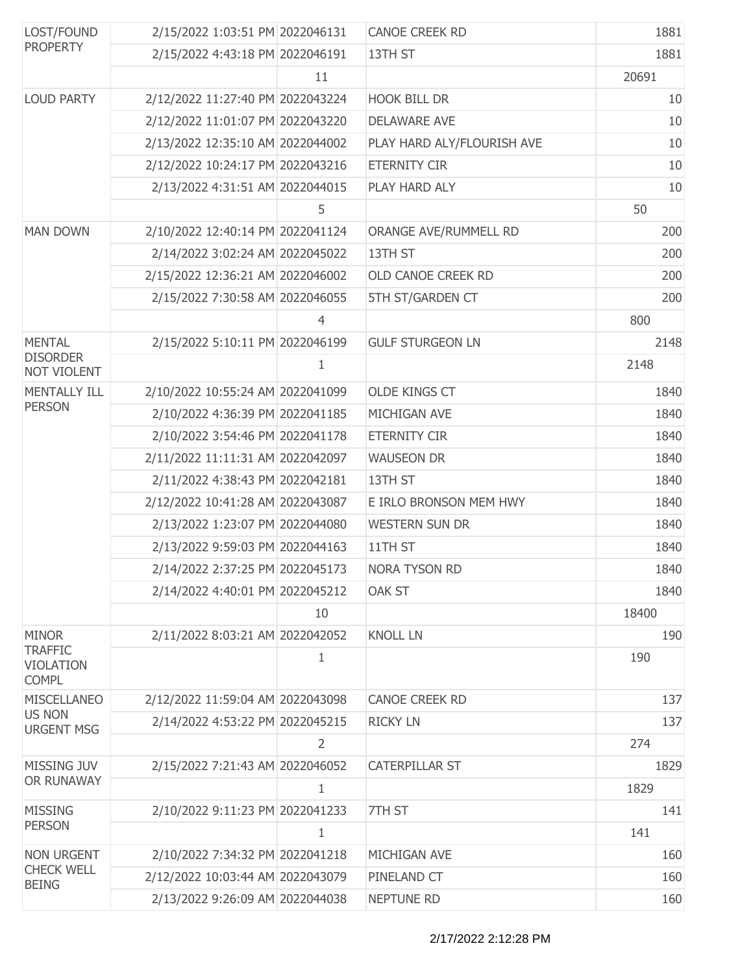| LOST/FOUND<br><b>PROPERTY</b>                      | 2/15/2022 1:03:51 PM 2022046131  |                | <b>CANOE CREEK RD</b>      | 1881  |
|----------------------------------------------------|----------------------------------|----------------|----------------------------|-------|
|                                                    | 2/15/2022 4:43:18 PM 2022046191  |                | 13TH ST                    | 1881  |
|                                                    |                                  | 11             |                            | 20691 |
| <b>LOUD PARTY</b>                                  | 2/12/2022 11:27:40 PM 2022043224 |                | <b>HOOK BILL DR</b>        | 10    |
|                                                    | 2/12/2022 11:01:07 PM 2022043220 |                | <b>DELAWARE AVE</b>        | 10    |
|                                                    | 2/13/2022 12:35:10 AM 2022044002 |                | PLAY HARD ALY/FLOURISH AVE | 10    |
|                                                    | 2/12/2022 10:24:17 PM 2022043216 |                | <b>ETERNITY CIR</b>        | 10    |
|                                                    | 2/13/2022 4:31:51 AM 2022044015  |                | PLAY HARD ALY              | 10    |
|                                                    |                                  | 5              |                            | 50    |
| <b>MAN DOWN</b>                                    | 2/10/2022 12:40:14 PM 2022041124 |                | ORANGE AVE/RUMMELL RD      | 200   |
|                                                    | 2/14/2022 3:02:24 AM 2022045022  |                | 13TH ST                    | 200   |
|                                                    | 2/15/2022 12:36:21 AM 2022046002 |                | OLD CANOE CREEK RD         | 200   |
|                                                    | 2/15/2022 7:30:58 AM 2022046055  |                | 5TH ST/GARDEN CT           | 200   |
|                                                    |                                  | $\overline{4}$ |                            | 800   |
| <b>MENTAL</b>                                      | 2/15/2022 5:10:11 PM 2022046199  |                | <b>GULF STURGEON LN</b>    | 2148  |
| <b>DISORDER</b><br>NOT VIOLENT                     |                                  | 1              |                            | 2148  |
| <b>MENTALLY ILL</b>                                | 2/10/2022 10:55:24 AM 2022041099 |                | <b>OLDE KINGS CT</b>       | 1840  |
| <b>PERSON</b>                                      | 2/10/2022 4:36:39 PM 2022041185  |                | MICHIGAN AVE               | 1840  |
|                                                    | 2/10/2022 3:54:46 PM 2022041178  |                | <b>ETERNITY CIR</b>        | 1840  |
|                                                    | 2/11/2022 11:11:31 AM 2022042097 |                | <b>WAUSEON DR</b>          | 1840  |
|                                                    | 2/11/2022 4:38:43 PM 2022042181  |                | 13TH ST                    | 1840  |
|                                                    | 2/12/2022 10:41:28 AM 2022043087 |                | E IRLO BRONSON MEM HWY     | 1840  |
|                                                    | 2/13/2022 1:23:07 PM 2022044080  |                | <b>WESTERN SUN DR</b>      | 1840  |
|                                                    | 2/13/2022 9:59:03 PM 2022044163  |                | 11TH ST                    | 1840  |
|                                                    | 2/14/2022 2:37:25 PM 2022045173  |                | NORA TYSON RD              | 1840  |
|                                                    | 2/14/2022 4:40:01 PM 2022045212  |                | <b>OAK ST</b>              | 1840  |
|                                                    |                                  | 10             |                            | 18400 |
| <b>MINOR</b>                                       | 2/11/2022 8:03:21 AM 2022042052  |                | <b>KNOLL LN</b>            | 190   |
| <b>TRAFFIC</b><br><b>VIOLATION</b><br><b>COMPL</b> |                                  | 1              |                            | 190   |
| <b>MISCELLANEO</b>                                 | 2/12/2022 11:59:04 AM 2022043098 |                | <b>CANOE CREEK RD</b>      | 137   |
| <b>US NON</b><br><b>URGENT MSG</b>                 | 2/14/2022 4:53:22 PM 2022045215  |                | <b>RICKY LN</b>            | 137   |
|                                                    |                                  | $\overline{2}$ |                            | 274   |
| <b>MISSING JUV</b>                                 | 2/15/2022 7:21:43 AM 2022046052  |                | <b>CATERPILLAR ST</b>      | 1829  |
| OR RUNAWAY                                         |                                  | 1              |                            | 1829  |
| <b>MISSING</b>                                     | 2/10/2022 9:11:23 PM 2022041233  |                | 7TH ST                     | 141   |
| <b>PERSON</b>                                      |                                  | $\mathbf{1}$   |                            | 141   |
| <b>NON URGENT</b>                                  | 2/10/2022 7:34:32 PM 2022041218  |                | MICHIGAN AVE               | 160   |
| <b>CHECK WELL</b><br><b>BEING</b>                  | 2/12/2022 10:03:44 AM 2022043079 |                | PINELAND CT                | 160   |
|                                                    | 2/13/2022 9:26:09 AM 2022044038  |                | NEPTUNE RD                 | 160   |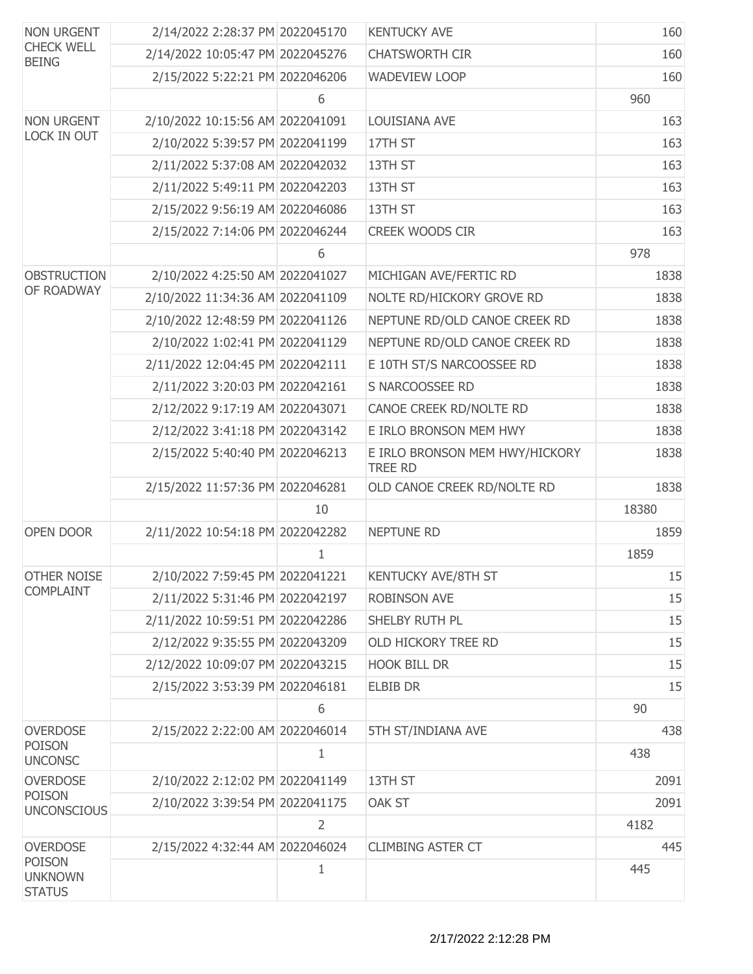| <b>NON URGENT</b><br><b>CHECK WELL</b><br><b>BEING</b> | 2/14/2022 2:28:37 PM 2022045170  |                | <b>KENTUCKY AVE</b>                              | 160   |
|--------------------------------------------------------|----------------------------------|----------------|--------------------------------------------------|-------|
|                                                        | 2/14/2022 10:05:47 PM 2022045276 |                | <b>CHATSWORTH CIR</b>                            | 160   |
|                                                        | 2/15/2022 5:22:21 PM 2022046206  |                | <b>WADEVIEW LOOP</b>                             | 160   |
|                                                        |                                  | 6              |                                                  | 960   |
| <b>NON URGENT</b>                                      | 2/10/2022 10:15:56 AM 2022041091 |                | LOUISIANA AVE                                    | 163   |
| LOCK IN OUT                                            | 2/10/2022 5:39:57 PM 2022041199  |                | 17TH ST                                          | 163   |
|                                                        | 2/11/2022 5:37:08 AM 2022042032  |                | 13TH ST                                          | 163   |
|                                                        | 2/11/2022 5:49:11 PM 2022042203  |                | 13TH ST                                          | 163   |
|                                                        | 2/15/2022 9:56:19 AM 2022046086  |                | 13TH ST                                          | 163   |
|                                                        | 2/15/2022 7:14:06 PM 2022046244  |                | <b>CREEK WOODS CIR</b>                           | 163   |
|                                                        |                                  | 6              |                                                  | 978   |
| <b>OBSTRUCTION</b>                                     | 2/10/2022 4:25:50 AM 2022041027  |                | MICHIGAN AVE/FERTIC RD                           | 1838  |
| OF ROADWAY                                             | 2/10/2022 11:34:36 AM 2022041109 |                | NOLTE RD/HICKORY GROVE RD                        | 1838  |
|                                                        | 2/10/2022 12:48:59 PM 2022041126 |                | NEPTUNE RD/OLD CANOE CREEK RD                    | 1838  |
|                                                        | 2/10/2022 1:02:41 PM 2022041129  |                | NEPTUNE RD/OLD CANOE CREEK RD                    | 1838  |
|                                                        | 2/11/2022 12:04:45 PM 2022042111 |                | E 10TH ST/S NARCOOSSEE RD                        | 1838  |
|                                                        | 2/11/2022 3:20:03 PM 2022042161  |                | S NARCOOSSEE RD                                  | 1838  |
|                                                        | 2/12/2022 9:17:19 AM 2022043071  |                | CANOE CREEK RD/NOLTE RD                          | 1838  |
|                                                        | 2/12/2022 3:41:18 PM 2022043142  |                | E IRLO BRONSON MEM HWY                           | 1838  |
|                                                        | 2/15/2022 5:40:40 PM 2022046213  |                | E IRLO BRONSON MEM HWY/HICKORY<br><b>TREE RD</b> | 1838  |
|                                                        | 2/15/2022 11:57:36 PM 2022046281 |                | OLD CANOE CREEK RD/NOLTE RD                      | 1838  |
|                                                        |                                  | 10             |                                                  | 18380 |
| OPEN DOOR                                              | 2/11/2022 10:54:18 PM 2022042282 |                | <b>NEPTUNE RD</b>                                | 1859  |
|                                                        |                                  | 1              |                                                  | 1859  |
| <b>OTHER NOISE</b>                                     | 2/10/2022 7:59:45 PM 2022041221  |                | <b>KENTUCKY AVE/8TH ST</b>                       | 15    |
| <b>COMPLAINT</b>                                       | 2/11/2022 5:31:46 PM 2022042197  |                | <b>ROBINSON AVE</b>                              | 15    |
|                                                        | 2/11/2022 10:59:51 PM 2022042286 |                | SHELBY RUTH PL                                   | 15    |
|                                                        | 2/12/2022 9:35:55 PM 2022043209  |                | OLD HICKORY TREE RD                              | 15    |
|                                                        | 2/12/2022 10:09:07 PM 2022043215 |                | <b>HOOK BILL DR</b>                              | 15    |
|                                                        | 2/15/2022 3:53:39 PM 2022046181  |                | <b>ELBIB DR</b>                                  | 15    |
|                                                        |                                  | 6              |                                                  | 90    |
| <b>OVERDOSE</b>                                        | 2/15/2022 2:22:00 AM 2022046014  |                | 5TH ST/INDIANA AVE                               | 438   |
| <b>POISON</b><br><b>UNCONSC</b>                        |                                  | 1              |                                                  | 438   |
| <b>OVERDOSE</b>                                        | 2/10/2022 2:12:02 PM 2022041149  |                | 13TH ST                                          | 2091  |
| <b>POISON</b><br><b>UNCONSCIOUS</b>                    | 2/10/2022 3:39:54 PM 2022041175  |                | OAK ST                                           | 2091  |
|                                                        |                                  | $\overline{2}$ |                                                  | 4182  |
| <b>OVERDOSE</b>                                        | 2/15/2022 4:32:44 AM 2022046024  |                | <b>CLIMBING ASTER CT</b>                         | 445   |
| <b>POISON</b><br><b>UNKNOWN</b><br><b>STATUS</b>       |                                  | $\mathbf{1}$   |                                                  | 445   |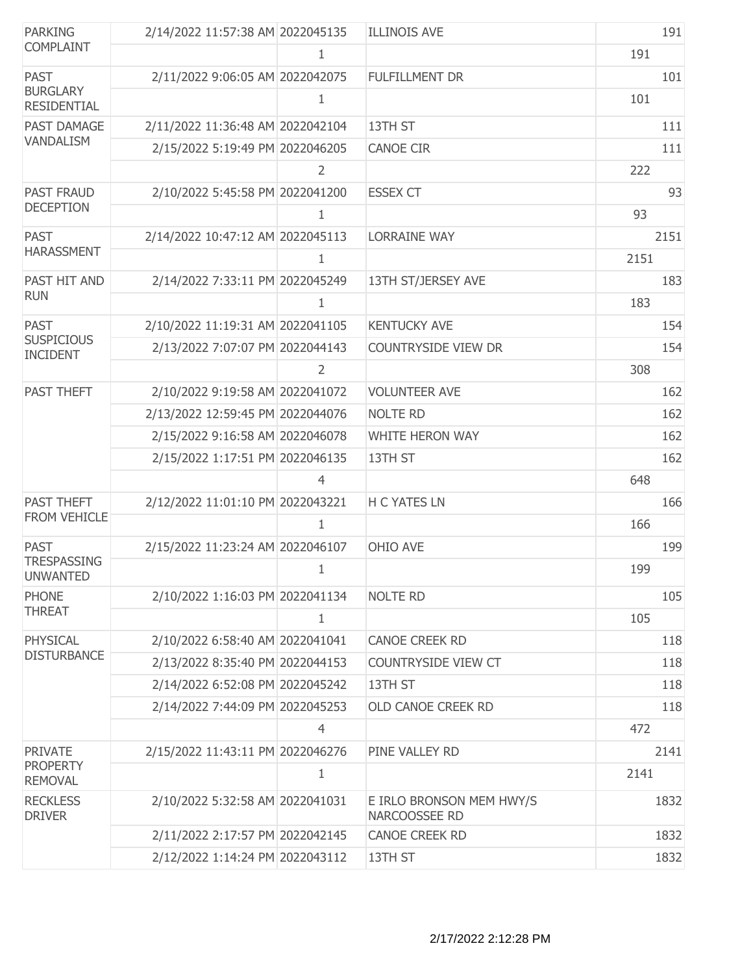| <b>PARKING</b>                        | 2/14/2022 11:57:38 AM 2022045135 |                | <b>ILLINOIS AVE</b>                       | 191  |
|---------------------------------------|----------------------------------|----------------|-------------------------------------------|------|
| <b>COMPLAINT</b>                      |                                  | 1              |                                           | 191  |
| <b>PAST</b>                           | 2/11/2022 9:06:05 AM 2022042075  |                | <b>FULFILLMENT DR</b>                     | 101  |
| <b>BURGLARY</b><br><b>RESIDENTIAL</b> |                                  | 1              |                                           | 101  |
| PAST DAMAGE                           | 2/11/2022 11:36:48 AM 2022042104 |                | 13TH ST                                   | 111  |
| <b>VANDALISM</b>                      | 2/15/2022 5:19:49 PM 2022046205  |                | <b>CANOE CIR</b>                          | 111  |
|                                       |                                  | $\overline{2}$ |                                           | 222  |
| <b>PAST FRAUD</b>                     | 2/10/2022 5:45:58 PM 2022041200  |                | <b>ESSEX CT</b>                           | 93   |
| <b>DECEPTION</b>                      |                                  | 1              |                                           | 93   |
| <b>PAST</b>                           | 2/14/2022 10:47:12 AM 2022045113 |                | <b>LORRAINE WAY</b>                       | 2151 |
| <b>HARASSMENT</b>                     |                                  | 1              |                                           | 2151 |
| PAST HIT AND                          | 2/14/2022 7:33:11 PM 2022045249  |                | 13TH ST/JERSEY AVE                        | 183  |
| <b>RUN</b>                            |                                  | 1              |                                           | 183  |
| <b>PAST</b>                           | 2/10/2022 11:19:31 AM 2022041105 |                | <b>KENTUCKY AVE</b>                       | 154  |
| <b>SUSPICIOUS</b><br><b>INCIDENT</b>  | 2/13/2022 7:07:07 PM 2022044143  |                | <b>COUNTRYSIDE VIEW DR</b>                | 154  |
|                                       |                                  | 2              |                                           | 308  |
| PAST THEFT                            | 2/10/2022 9:19:58 AM 2022041072  |                | <b>VOLUNTEER AVE</b>                      | 162  |
|                                       | 2/13/2022 12:59:45 PM 2022044076 |                | <b>NOLTE RD</b>                           | 162  |
|                                       | 2/15/2022 9:16:58 AM 2022046078  |                | WHITE HERON WAY                           | 162  |
|                                       | 2/15/2022 1:17:51 PM 2022046135  |                | 13TH ST                                   | 162  |
|                                       |                                  | 4              |                                           | 648  |
| <b>PAST THEFT</b>                     | 2/12/2022 11:01:10 PM 2022043221 |                | <b>H C YATES LN</b>                       | 166  |
| FROM VEHICLE                          |                                  | 1              |                                           | 166  |
| <b>PAST</b>                           | 2/15/2022 11:23:24 AM 2022046107 |                | OHIO AVE                                  | 199  |
| <b>TRESPASSING</b><br><b>UNWANTED</b> |                                  | 1              |                                           | 199  |
| <b>PHONE</b>                          | 2/10/2022 1:16:03 PM 2022041134  |                | <b>NOLTE RD</b>                           | 105  |
| <b>THREAT</b>                         |                                  | 1              |                                           | 105  |
| PHYSICAL                              | 2/10/2022 6:58:40 AM 2022041041  |                | <b>CANOE CREEK RD</b>                     | 118  |
| <b>DISTURBANCE</b>                    | 2/13/2022 8:35:40 PM 2022044153  |                | <b>COUNTRYSIDE VIEW CT</b>                | 118  |
|                                       | 2/14/2022 6:52:08 PM 2022045242  |                | 13TH ST                                   | 118  |
|                                       | 2/14/2022 7:44:09 PM 2022045253  |                | OLD CANOE CREEK RD                        | 118  |
|                                       |                                  | $\overline{4}$ |                                           | 472  |
| <b>PRIVATE</b>                        | 2/15/2022 11:43:11 PM 2022046276 |                | PINE VALLEY RD                            | 2141 |
| <b>PROPERTY</b><br><b>REMOVAL</b>     |                                  | 1              |                                           | 2141 |
| <b>RECKLESS</b><br><b>DRIVER</b>      | 2/10/2022 5:32:58 AM 2022041031  |                | E IRLO BRONSON MEM HWY/S<br>NARCOOSSEE RD | 1832 |
|                                       | 2/11/2022 2:17:57 PM 2022042145  |                | <b>CANOE CREEK RD</b>                     | 1832 |
|                                       | 2/12/2022 1:14:24 PM 2022043112  |                | 13TH ST                                   | 1832 |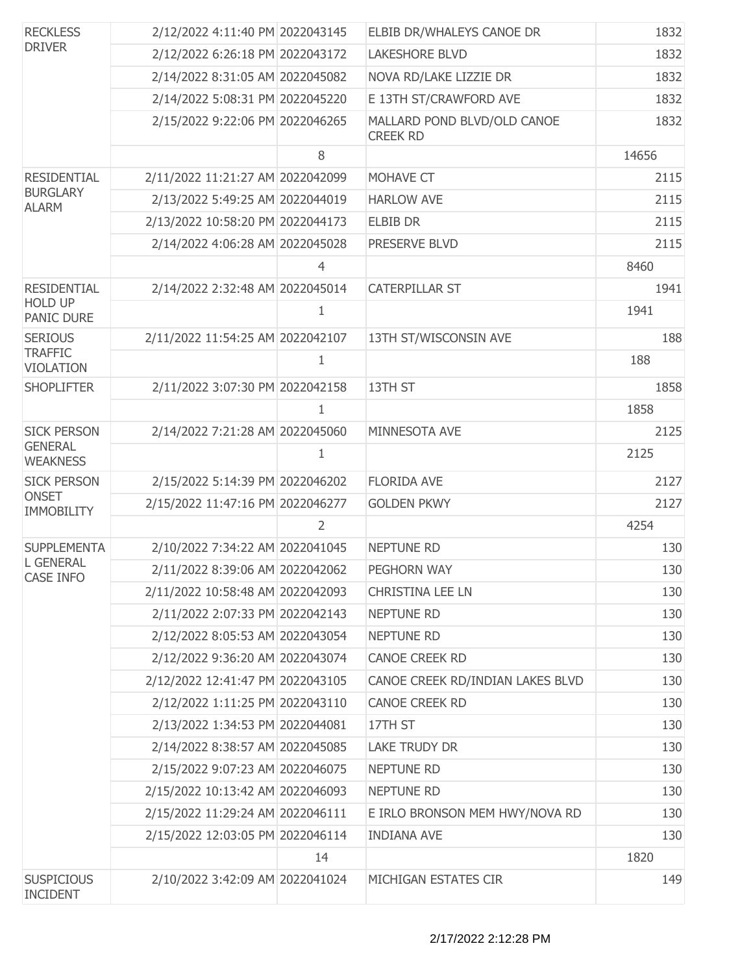| <b>RECKLESS</b><br><b>DRIVER</b>     | 2/12/2022 4:11:40 PM 2022043145  |                | ELBIB DR/WHALEYS CANOE DR                      | 1832  |
|--------------------------------------|----------------------------------|----------------|------------------------------------------------|-------|
|                                      | 2/12/2022 6:26:18 PM 2022043172  |                | <b>LAKESHORE BLVD</b>                          | 1832  |
|                                      | 2/14/2022 8:31:05 AM 2022045082  |                | NOVA RD/LAKE LIZZIE DR                         | 1832  |
|                                      | 2/14/2022 5:08:31 PM 2022045220  |                | E 13TH ST/CRAWFORD AVE                         | 1832  |
|                                      | 2/15/2022 9:22:06 PM 2022046265  |                | MALLARD POND BLVD/OLD CANOE<br><b>CREEK RD</b> | 1832  |
|                                      |                                  | 8              |                                                | 14656 |
| <b>RESIDENTIAL</b>                   | 2/11/2022 11:21:27 AM 2022042099 |                | MOHAVE CT                                      | 2115  |
| <b>BURGLARY</b><br><b>ALARM</b>      | 2/13/2022 5:49:25 AM 2022044019  |                | <b>HARLOW AVE</b>                              | 2115  |
|                                      | 2/13/2022 10:58:20 PM 2022044173 |                | <b>ELBIB DR</b>                                | 2115  |
|                                      | 2/14/2022 4:06:28 AM 2022045028  |                | PRESERVE BLVD                                  | 2115  |
|                                      |                                  | $\overline{4}$ |                                                | 8460  |
| <b>RESIDENTIAL</b>                   | 2/14/2022 2:32:48 AM 2022045014  |                | <b>CATERPILLAR ST</b>                          | 1941  |
| <b>HOLD UP</b><br><b>PANIC DURE</b>  |                                  | 1              |                                                | 1941  |
| <b>SERIOUS</b>                       | 2/11/2022 11:54:25 AM 2022042107 |                | 13TH ST/WISCONSIN AVE                          | 188   |
| <b>TRAFFIC</b><br><b>VIOLATION</b>   |                                  | 1              |                                                | 188   |
| <b>SHOPLIFTER</b>                    | 2/11/2022 3:07:30 PM 2022042158  |                | 13TH ST                                        | 1858  |
|                                      |                                  | 1              |                                                | 1858  |
| <b>SICK PERSON</b>                   | 2/14/2022 7:21:28 AM 2022045060  |                | MINNESOTA AVE                                  | 2125  |
| <b>GENERAL</b><br><b>WEAKNESS</b>    |                                  | 1              |                                                | 2125  |
| <b>SICK PERSON</b>                   | 2/15/2022 5:14:39 PM 2022046202  |                | <b>FLORIDA AVE</b>                             | 2127  |
| <b>ONSET</b><br><b>IMMOBILITY</b>    | 2/15/2022 11:47:16 PM 2022046277 |                | <b>GOLDEN PKWY</b>                             | 2127  |
|                                      |                                  | 2              |                                                | 4254  |
| <b>SUPPLEMENTA</b>                   | 2/10/2022 7:34:22 AM 2022041045  |                | <b>NEPTUNE RD</b>                              | 130   |
| <b>L GENERAL</b><br><b>CASE INFO</b> | 2/11/2022 8:39:06 AM 2022042062  |                | PEGHORN WAY                                    | 130   |
|                                      | 2/11/2022 10:58:48 AM 2022042093 |                | CHRISTINA LEE LN                               | 130   |
|                                      | 2/11/2022 2:07:33 PM 2022042143  |                | <b>NEPTUNE RD</b>                              | 130   |
|                                      | 2/12/2022 8:05:53 AM 2022043054  |                | <b>NEPTUNE RD</b>                              | 130   |
|                                      | 2/12/2022 9:36:20 AM 2022043074  |                | <b>CANOE CREEK RD</b>                          | 130   |
|                                      | 2/12/2022 12:41:47 PM 2022043105 |                | CANOE CREEK RD/INDIAN LAKES BLVD               | 130   |
|                                      | 2/12/2022 1:11:25 PM 2022043110  |                | <b>CANOE CREEK RD</b>                          | 130   |
|                                      | 2/13/2022 1:34:53 PM 2022044081  |                | 17TH ST                                        | 130   |
|                                      | 2/14/2022 8:38:57 AM 2022045085  |                | LAKE TRUDY DR                                  | 130   |
|                                      | 2/15/2022 9:07:23 AM 2022046075  |                | <b>NEPTUNE RD</b>                              | 130   |
|                                      | 2/15/2022 10:13:42 AM 2022046093 |                | <b>NEPTUNE RD</b>                              | 130   |
|                                      | 2/15/2022 11:29:24 AM 2022046111 |                | E IRLO BRONSON MEM HWY/NOVA RD                 | 130   |
|                                      | 2/15/2022 12:03:05 PM 2022046114 |                | <b>INDIANA AVE</b>                             | 130   |
|                                      |                                  | 14             |                                                | 1820  |
| <b>SUSPICIOUS</b><br><b>INCIDENT</b> | 2/10/2022 3:42:09 AM 2022041024  |                | MICHIGAN ESTATES CIR                           | 149   |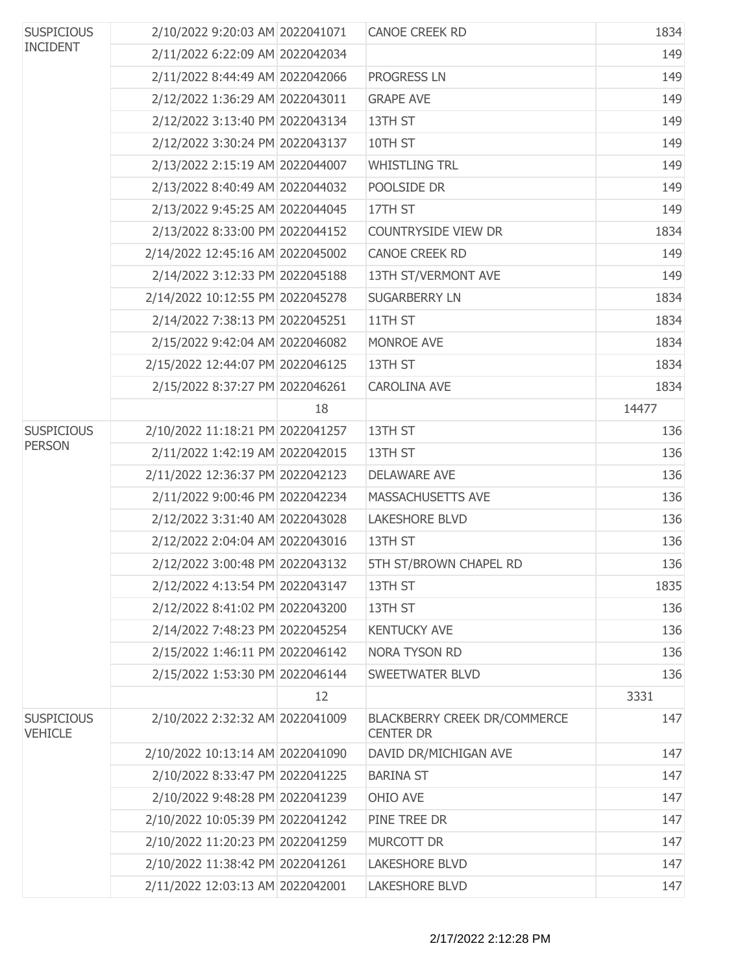| <b>SUSPICIOUS</b><br><b>INCIDENT</b> | 2/10/2022 9:20:03 AM 2022041071  |    | <b>CANOE CREEK RD</b>                                   | 1834  |
|--------------------------------------|----------------------------------|----|---------------------------------------------------------|-------|
|                                      | 2/11/2022 6:22:09 AM 2022042034  |    |                                                         | 149   |
|                                      | 2/11/2022 8:44:49 AM 2022042066  |    | PROGRESS LN                                             | 149   |
|                                      | 2/12/2022 1:36:29 AM 2022043011  |    | <b>GRAPE AVE</b>                                        | 149   |
|                                      | 2/12/2022 3:13:40 PM 2022043134  |    | 13TH ST                                                 | 149   |
|                                      | 2/12/2022 3:30:24 PM 2022043137  |    | 10TH ST                                                 | 149   |
|                                      | 2/13/2022 2:15:19 AM 2022044007  |    | <b>WHISTLING TRL</b>                                    | 149   |
|                                      | 2/13/2022 8:40:49 AM 2022044032  |    | POOLSIDE DR                                             | 149   |
|                                      | 2/13/2022 9:45:25 AM 2022044045  |    | 17TH ST                                                 | 149   |
|                                      | 2/13/2022 8:33:00 PM 2022044152  |    | COUNTRYSIDE VIEW DR                                     | 1834  |
|                                      | 2/14/2022 12:45:16 AM 2022045002 |    | CANOE CREEK RD                                          | 149   |
|                                      | 2/14/2022 3:12:33 PM 2022045188  |    | 13TH ST/VERMONT AVE                                     | 149   |
|                                      | 2/14/2022 10:12:55 PM 2022045278 |    | <b>SUGARBERRY LN</b>                                    | 1834  |
|                                      | 2/14/2022 7:38:13 PM 2022045251  |    | 11TH ST                                                 | 1834  |
|                                      | 2/15/2022 9:42:04 AM 2022046082  |    | MONROE AVE                                              | 1834  |
|                                      | 2/15/2022 12:44:07 PM 2022046125 |    | 13TH ST                                                 | 1834  |
|                                      | 2/15/2022 8:37:27 PM 2022046261  |    | <b>CAROLINA AVE</b>                                     | 1834  |
|                                      |                                  | 18 |                                                         | 14477 |
| <b>SUSPICIOUS</b>                    | 2/10/2022 11:18:21 PM 2022041257 |    | 13TH ST                                                 | 136   |
| <b>PERSON</b>                        | 2/11/2022 1:42:19 AM 2022042015  |    | 13TH ST                                                 | 136   |
|                                      | 2/11/2022 12:36:37 PM 2022042123 |    | <b>DELAWARE AVE</b>                                     | 136   |
|                                      | 2/11/2022 9:00:46 PM 2022042234  |    | MASSACHUSETTS AVE                                       | 136   |
|                                      | 2/12/2022 3:31:40 AM 2022043028  |    | <b>LAKESHORE BLVD</b>                                   | 136   |
|                                      | 2/12/2022 2:04:04 AM 2022043016  |    | 13TH ST                                                 | 136   |
|                                      | 2/12/2022 3:00:48 PM 2022043132  |    | 5TH ST/BROWN CHAPEL RD                                  | 136   |
|                                      | 2/12/2022 4:13:54 PM 2022043147  |    | 13TH ST                                                 | 1835  |
|                                      | 2/12/2022 8:41:02 PM 2022043200  |    | 13TH ST                                                 | 136   |
|                                      | 2/14/2022 7:48:23 PM 2022045254  |    | <b>KENTUCKY AVE</b>                                     | 136   |
|                                      | 2/15/2022 1:46:11 PM 2022046142  |    | <b>NORA TYSON RD</b>                                    | 136   |
|                                      | 2/15/2022 1:53:30 PM 2022046144  |    | <b>SWEETWATER BLVD</b>                                  | 136   |
|                                      |                                  | 12 |                                                         | 3331  |
| <b>SUSPICIOUS</b><br><b>VEHICLE</b>  | 2/10/2022 2:32:32 AM 2022041009  |    | <b>BLACKBERRY CREEK DR/COMMERCE</b><br><b>CENTER DR</b> | 147   |
|                                      | 2/10/2022 10:13:14 AM 2022041090 |    | DAVID DR/MICHIGAN AVE                                   | 147   |
|                                      | 2/10/2022 8:33:47 PM 2022041225  |    | <b>BARINA ST</b>                                        | 147   |
|                                      | 2/10/2022 9:48:28 PM 2022041239  |    | OHIO AVE                                                | 147   |
|                                      | 2/10/2022 10:05:39 PM 2022041242 |    | PINE TREE DR                                            | 147   |
|                                      | 2/10/2022 11:20:23 PM 2022041259 |    | MURCOTT DR                                              | 147   |
|                                      | 2/10/2022 11:38:42 PM 2022041261 |    | <b>LAKESHORE BLVD</b>                                   | 147   |
|                                      | 2/11/2022 12:03:13 AM 2022042001 |    | <b>LAKESHORE BLVD</b>                                   | 147   |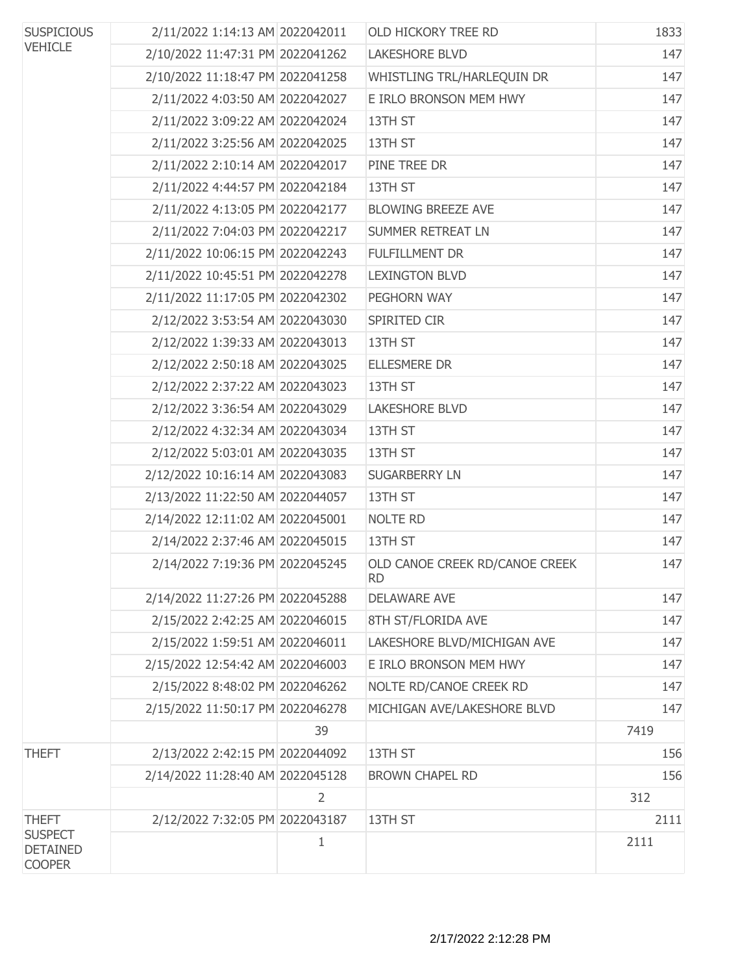| <b>SUSPICIOUS</b>                                  | 2/11/2022 1:14:13 AM 2022042011  |                | OLD HICKORY TREE RD                         | 1833 |
|----------------------------------------------------|----------------------------------|----------------|---------------------------------------------|------|
| <b>VEHICLE</b>                                     | 2/10/2022 11:47:31 PM 2022041262 |                | <b>LAKESHORE BLVD</b>                       | 147  |
|                                                    | 2/10/2022 11:18:47 PM 2022041258 |                | WHISTLING TRL/HARLEQUIN DR                  | 147  |
|                                                    | 2/11/2022 4:03:50 AM 2022042027  |                | E IRLO BRONSON MEM HWY                      | 147  |
|                                                    | 2/11/2022 3:09:22 AM 2022042024  |                | 13TH ST                                     | 147  |
|                                                    | 2/11/2022 3:25:56 AM 2022042025  |                | 13TH ST                                     | 147  |
|                                                    | 2/11/2022 2:10:14 AM 2022042017  |                | PINE TREE DR                                | 147  |
|                                                    | 2/11/2022 4:44:57 PM 2022042184  |                | 13TH ST                                     | 147  |
|                                                    | 2/11/2022 4:13:05 PM 2022042177  |                | <b>BLOWING BREEZE AVE</b>                   | 147  |
|                                                    | 2/11/2022 7:04:03 PM 2022042217  |                | <b>SUMMER RETREAT LN</b>                    | 147  |
|                                                    | 2/11/2022 10:06:15 PM 2022042243 |                | <b>FULFILLMENT DR</b>                       | 147  |
|                                                    | 2/11/2022 10:45:51 PM 2022042278 |                | <b>LEXINGTON BLVD</b>                       | 147  |
|                                                    | 2/11/2022 11:17:05 PM 2022042302 |                | PEGHORN WAY                                 | 147  |
|                                                    | 2/12/2022 3:53:54 AM 2022043030  |                | SPIRITED CIR                                | 147  |
|                                                    | 2/12/2022 1:39:33 AM 2022043013  |                | 13TH ST                                     | 147  |
|                                                    | 2/12/2022 2:50:18 AM 2022043025  |                | <b>ELLESMERE DR</b>                         | 147  |
|                                                    | 2/12/2022 2:37:22 AM 2022043023  |                | 13TH ST                                     | 147  |
|                                                    | 2/12/2022 3:36:54 AM 2022043029  |                | <b>LAKESHORE BLVD</b>                       | 147  |
|                                                    | 2/12/2022 4:32:34 AM 2022043034  |                | 13TH ST                                     | 147  |
|                                                    | 2/12/2022 5:03:01 AM 2022043035  |                | 13TH ST                                     | 147  |
|                                                    | 2/12/2022 10:16:14 AM 2022043083 |                | <b>SUGARBERRY LN</b>                        | 147  |
|                                                    | 2/13/2022 11:22:50 AM 2022044057 |                | 13TH ST                                     | 147  |
|                                                    | 2/14/2022 12:11:02 AM 2022045001 |                | NOLTE RD                                    | 147  |
|                                                    | 2/14/2022 2:37:46 AM 2022045015  |                | 13TH ST                                     | 147  |
|                                                    | 2/14/2022 7:19:36 PM 2022045245  |                | OLD CANOE CREEK RD/CANOE CREEK<br><b>RD</b> | 147  |
|                                                    | 2/14/2022 11:27:26 PM 2022045288 |                | <b>DELAWARE AVE</b>                         | 147  |
|                                                    | 2/15/2022 2:42:25 AM 2022046015  |                | 8TH ST/FLORIDA AVE                          | 147  |
|                                                    | 2/15/2022 1:59:51 AM 2022046011  |                | LAKESHORE BLVD/MICHIGAN AVE                 | 147  |
|                                                    | 2/15/2022 12:54:42 AM 2022046003 |                | E IRLO BRONSON MEM HWY                      | 147  |
|                                                    | 2/15/2022 8:48:02 PM 2022046262  |                | NOLTE RD/CANOE CREEK RD                     | 147  |
|                                                    | 2/15/2022 11:50:17 PM 2022046278 |                | MICHIGAN AVE/LAKESHORE BLVD                 | 147  |
|                                                    |                                  | 39             |                                             | 7419 |
| <b>THEFT</b>                                       | 2/13/2022 2:42:15 PM 2022044092  |                | 13TH ST                                     | 156  |
|                                                    | 2/14/2022 11:28:40 AM 2022045128 |                | <b>BROWN CHAPEL RD</b>                      | 156  |
|                                                    |                                  | $\overline{2}$ |                                             | 312  |
| <b>THEFT</b>                                       | 2/12/2022 7:32:05 PM 2022043187  |                | 13TH ST                                     | 2111 |
| <b>SUSPECT</b><br><b>DETAINED</b><br><b>COOPER</b> |                                  | 1              |                                             | 2111 |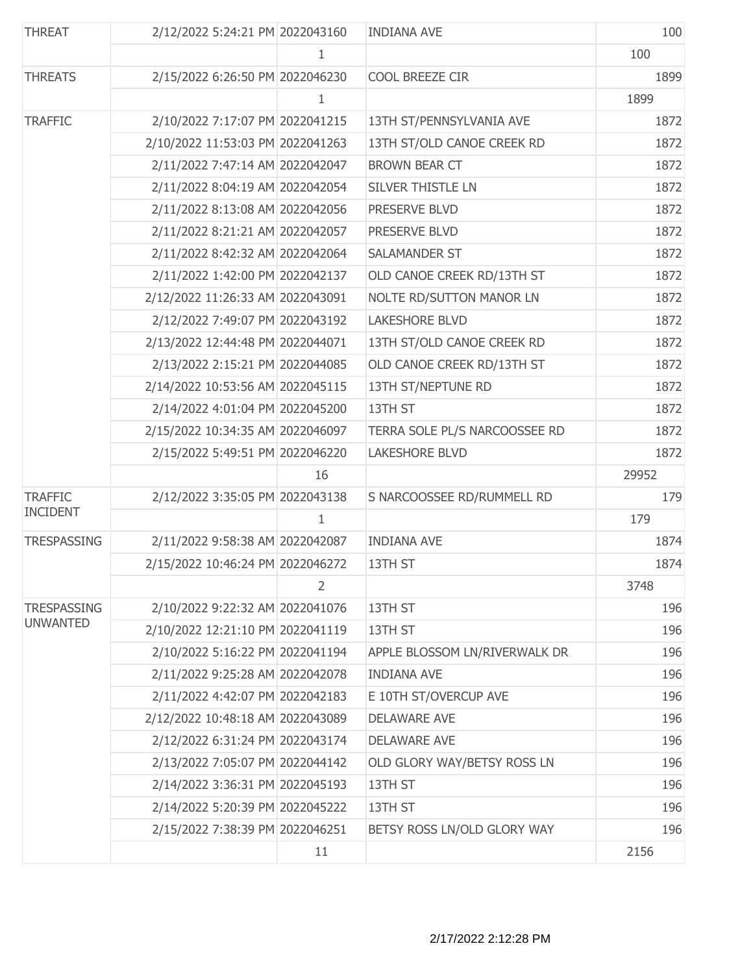| <b>THREAT</b>      | 2/12/2022 5:24:21 PM 2022043160  |    | <b>INDIANA AVE</b>            | 100   |
|--------------------|----------------------------------|----|-------------------------------|-------|
|                    |                                  | 1  |                               | 100   |
| <b>THREATS</b>     | 2/15/2022 6:26:50 PM 2022046230  |    | COOL BREEZE CIR               | 1899  |
|                    |                                  | 1  |                               | 1899  |
| <b>TRAFFIC</b>     | 2/10/2022 7:17:07 PM 2022041215  |    | 13TH ST/PENNSYLVANIA AVE      | 1872  |
|                    | 2/10/2022 11:53:03 PM 2022041263 |    | 13TH ST/OLD CANOE CREEK RD    | 1872  |
|                    | 2/11/2022 7:47:14 AM 2022042047  |    | <b>BROWN BEAR CT</b>          | 1872  |
|                    | 2/11/2022 8:04:19 AM 2022042054  |    | SILVER THISTLE LN             | 1872  |
|                    | 2/11/2022 8:13:08 AM 2022042056  |    | PRESERVE BLVD                 | 1872  |
|                    | 2/11/2022 8:21:21 AM 2022042057  |    | PRESERVE BLVD                 | 1872  |
|                    | 2/11/2022 8:42:32 AM 2022042064  |    | SALAMANDER ST                 | 1872  |
|                    | 2/11/2022 1:42:00 PM 2022042137  |    | OLD CANOE CREEK RD/13TH ST    | 1872  |
|                    | 2/12/2022 11:26:33 AM 2022043091 |    | NOLTE RD/SUTTON MANOR LN      | 1872  |
|                    | 2/12/2022 7:49:07 PM 2022043192  |    | <b>LAKESHORE BLVD</b>         | 1872  |
|                    | 2/13/2022 12:44:48 PM 2022044071 |    | 13TH ST/OLD CANOE CREEK RD    | 1872  |
|                    | 2/13/2022 2:15:21 PM 2022044085  |    | OLD CANOE CREEK RD/13TH ST    | 1872  |
|                    | 2/14/2022 10:53:56 AM 2022045115 |    | 13TH ST/NEPTUNE RD            | 1872  |
|                    | 2/14/2022 4:01:04 PM 2022045200  |    | 13TH ST                       | 1872  |
|                    | 2/15/2022 10:34:35 AM 2022046097 |    | TERRA SOLE PL/S NARCOOSSEE RD | 1872  |
|                    | 2/15/2022 5:49:51 PM 2022046220  |    | <b>LAKESHORE BLVD</b>         | 1872  |
|                    |                                  | 16 |                               | 29952 |
| <b>TRAFFIC</b>     | 2/12/2022 3:35:05 PM 2022043138  |    | S NARCOOSSEE RD/RUMMELL RD    | 179   |
| <b>INCIDENT</b>    |                                  | 1  |                               | 179   |
| <b>TRESPASSING</b> | 2/11/2022 9:58:38 AM 2022042087  |    | <b>INDIANA AVE</b>            | 1874  |
|                    | 2/15/2022 10:46:24 PM 2022046272 |    | 13TH ST                       | 1874  |
|                    |                                  | 2  |                               | 3748  |
| <b>TRESPASSING</b> | 2/10/2022 9:22:32 AM 2022041076  |    | 13TH ST                       | 196   |
| <b>UNWANTED</b>    | 2/10/2022 12:21:10 PM 2022041119 |    | 13TH ST                       | 196   |
|                    | 2/10/2022 5:16:22 PM 2022041194  |    | APPLE BLOSSOM LN/RIVERWALK DR | 196   |
|                    | 2/11/2022 9:25:28 AM 2022042078  |    | <b>INDIANA AVE</b>            | 196   |
|                    | 2/11/2022 4:42:07 PM 2022042183  |    | E 10TH ST/OVERCUP AVE         | 196   |
|                    | 2/12/2022 10:48:18 AM 2022043089 |    | <b>DELAWARE AVE</b>           | 196   |
|                    | 2/12/2022 6:31:24 PM 2022043174  |    | <b>DELAWARE AVE</b>           | 196   |
|                    | 2/13/2022 7:05:07 PM 2022044142  |    | OLD GLORY WAY/BETSY ROSS LN   | 196   |
|                    | 2/14/2022 3:36:31 PM 2022045193  |    | 13TH ST                       | 196   |
|                    | 2/14/2022 5:20:39 PM 2022045222  |    | 13TH ST                       | 196   |
|                    | 2/15/2022 7:38:39 PM 2022046251  |    | BETSY ROSS LN/OLD GLORY WAY   | 196   |
|                    |                                  | 11 |                               | 2156  |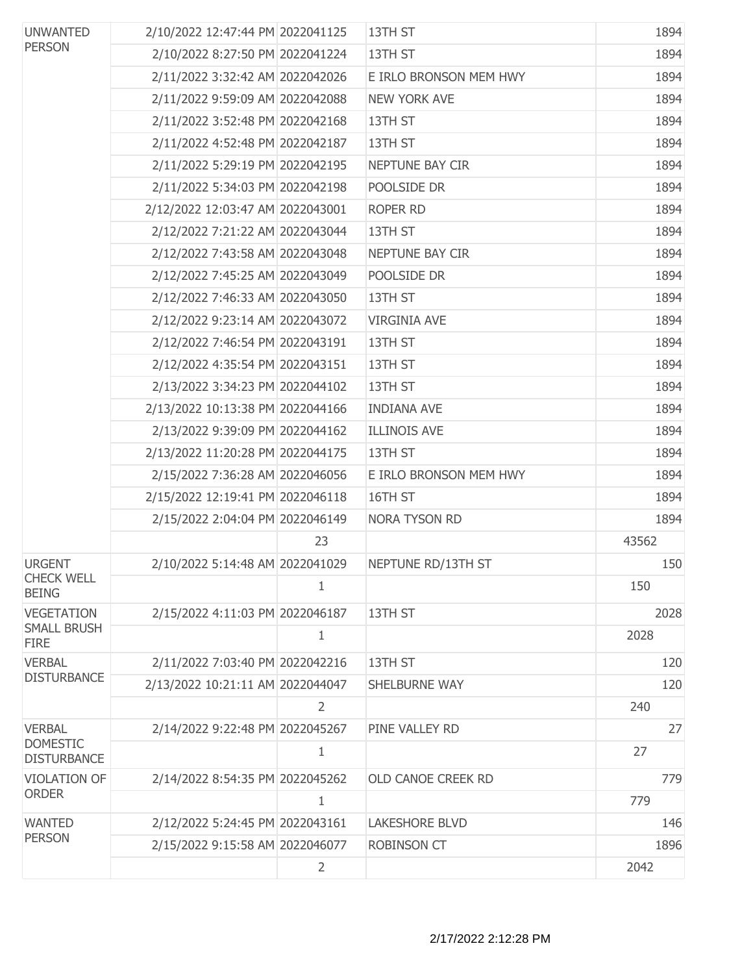| <b>UNWANTED</b><br><b>PERSON</b>      | 2/10/2022 12:47:44 PM 2022041125 |                | 13TH ST                | 1894  |
|---------------------------------------|----------------------------------|----------------|------------------------|-------|
|                                       | 2/10/2022 8:27:50 PM 2022041224  |                | 13TH ST                | 1894  |
|                                       | 2/11/2022 3:32:42 AM 2022042026  |                | E IRLO BRONSON MEM HWY | 1894  |
|                                       | 2/11/2022 9:59:09 AM 2022042088  |                | <b>NEW YORK AVE</b>    | 1894  |
|                                       | 2/11/2022 3:52:48 PM 2022042168  |                | 13TH ST                | 1894  |
|                                       | 2/11/2022 4:52:48 PM 2022042187  |                | 13TH ST                | 1894  |
|                                       | 2/11/2022 5:29:19 PM 2022042195  |                | NEPTUNE BAY CIR        | 1894  |
|                                       | 2/11/2022 5:34:03 PM 2022042198  |                | POOLSIDE DR            | 1894  |
|                                       | 2/12/2022 12:03:47 AM 2022043001 |                | ROPER RD               | 1894  |
|                                       | 2/12/2022 7:21:22 AM 2022043044  |                | 13TH ST                | 1894  |
|                                       | 2/12/2022 7:43:58 AM 2022043048  |                | NEPTUNE BAY CIR        | 1894  |
|                                       | 2/12/2022 7:45:25 AM 2022043049  |                | POOLSIDE DR            | 1894  |
|                                       | 2/12/2022 7:46:33 AM 2022043050  |                | 13TH ST                | 1894  |
|                                       | 2/12/2022 9:23:14 AM 2022043072  |                | <b>VIRGINIA AVE</b>    | 1894  |
|                                       | 2/12/2022 7:46:54 PM 2022043191  |                | 13TH ST                | 1894  |
|                                       | 2/12/2022 4:35:54 PM 2022043151  |                | 13TH ST                | 1894  |
|                                       | 2/13/2022 3:34:23 PM 2022044102  |                | 13TH ST                | 1894  |
|                                       | 2/13/2022 10:13:38 PM 2022044166 |                | <b>INDIANA AVE</b>     | 1894  |
|                                       | 2/13/2022 9:39:09 PM 2022044162  |                | <b>ILLINOIS AVE</b>    | 1894  |
|                                       | 2/13/2022 11:20:28 PM 2022044175 |                | 13TH ST                | 1894  |
|                                       | 2/15/2022 7:36:28 AM 2022046056  |                | E IRLO BRONSON MEM HWY | 1894  |
|                                       | 2/15/2022 12:19:41 PM 2022046118 |                | 16TH ST                | 1894  |
|                                       | 2/15/2022 2:04:04 PM 2022046149  |                | NORA TYSON RD          | 1894  |
|                                       |                                  | 23             |                        | 43562 |
| <b>URGENT</b>                         | 2/10/2022 5:14:48 AM 2022041029  |                | NEPTUNE RD/13TH ST     | 150   |
| <b>CHECK WELL</b><br><b>BEING</b>     |                                  | $\mathbf{1}$   |                        | 150   |
| <b>VEGETATION</b>                     | 2/15/2022 4:11:03 PM 2022046187  |                | 13TH ST                | 2028  |
| <b>SMALL BRUSH</b><br><b>FIRE</b>     |                                  | $\mathbf{1}$   |                        | 2028  |
| <b>VERBAL</b>                         | 2/11/2022 7:03:40 PM 2022042216  |                | 13TH ST                | 120   |
| <b>DISTURBANCE</b>                    | 2/13/2022 10:21:11 AM 2022044047 |                | SHELBURNE WAY          | 120   |
|                                       |                                  | 2              |                        | 240   |
| <b>VERBAL</b>                         | 2/14/2022 9:22:48 PM 2022045267  |                | PINE VALLEY RD         | 27    |
| <b>DOMESTIC</b><br><b>DISTURBANCE</b> |                                  | 1              |                        | 27    |
| <b>VIOLATION OF</b>                   | 2/14/2022 8:54:35 PM 2022045262  |                | OLD CANOE CREEK RD     | 779   |
| <b>ORDER</b>                          |                                  | 1              |                        | 779   |
| <b>WANTED</b>                         | 2/12/2022 5:24:45 PM 2022043161  |                | <b>LAKESHORE BLVD</b>  | 146   |
| <b>PERSON</b>                         | 2/15/2022 9:15:58 AM 2022046077  |                | <b>ROBINSON CT</b>     | 1896  |
|                                       |                                  | $\overline{2}$ |                        | 2042  |